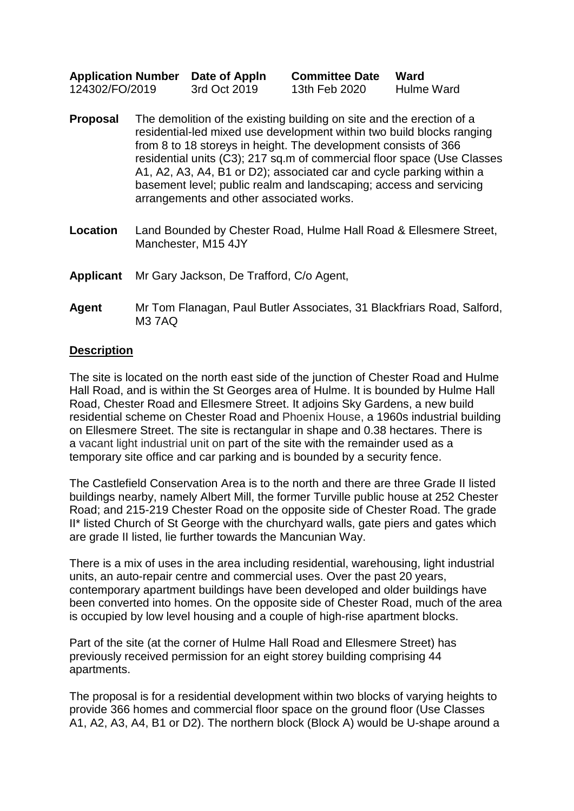| <b>Application Number</b> | Date of Appln | <b>Committee Date</b> | Ward       |
|---------------------------|---------------|-----------------------|------------|
| 124302/FO/2019            | 3rd Oct 2019  | 13th Feb 2020         | Hulme Ward |

- **Proposal** The demolition of the existing building on site and the erection of a residential-led mixed use development within two build blocks ranging from 8 to 18 storeys in height. The development consists of 366 residential units (C3); 217 sq.m of commercial floor space (Use Classes A1, A2, A3, A4, B1 or D2); associated car and cycle parking within a basement level; public realm and landscaping; access and servicing arrangements and other associated works.
- **Location** Land Bounded by Chester Road, Hulme Hall Road & Ellesmere Street, Manchester, M15 4JY

#### **Applicant** Mr Gary Jackson, De Trafford, C/o Agent,

## **Agent** Mr Tom Flanagan, Paul Butler Associates, 31 Blackfriars Road, Salford, M3 7AQ

#### **Description**

The site is located on the north east side of the junction of Chester Road and Hulme Hall Road, and is within the St Georges area of Hulme. It is bounded by Hulme Hall Road, Chester Road and Ellesmere Street. It adjoins Sky Gardens, a new build residential scheme on Chester Road and Phoenix House, a 1960s industrial building on Ellesmere Street. The site is rectangular in shape and 0.38 hectares. There is a vacant light industrial unit on part of the site with the remainder used as a temporary site office and car parking and is bounded by a security fence.

The Castlefield Conservation Area is to the north and there are three Grade II listed buildings nearby, namely Albert Mill, the former Turville public house at 252 Chester Road; and 215-219 Chester Road on the opposite side of Chester Road. The grade II\* listed Church of St George with the churchyard walls, gate piers and gates which are grade II listed, lie further towards the Mancunian Way.

There is a mix of uses in the area including residential, warehousing, light industrial units, an auto-repair centre and commercial uses. Over the past 20 years, contemporary apartment buildings have been developed and older buildings have been converted into homes. On the opposite side of Chester Road, much of the area is occupied by low level housing and a couple of high-rise apartment blocks.

Part of the site (at the corner of Hulme Hall Road and Ellesmere Street) has previously received permission for an eight storey building comprising 44 apartments.

The proposal is for a residential development within two blocks of varying heights to provide 366 homes and commercial floor space on the ground floor (Use Classes A1, A2, A3, A4, B1 or D2). The northern block (Block A) would be U-shape around a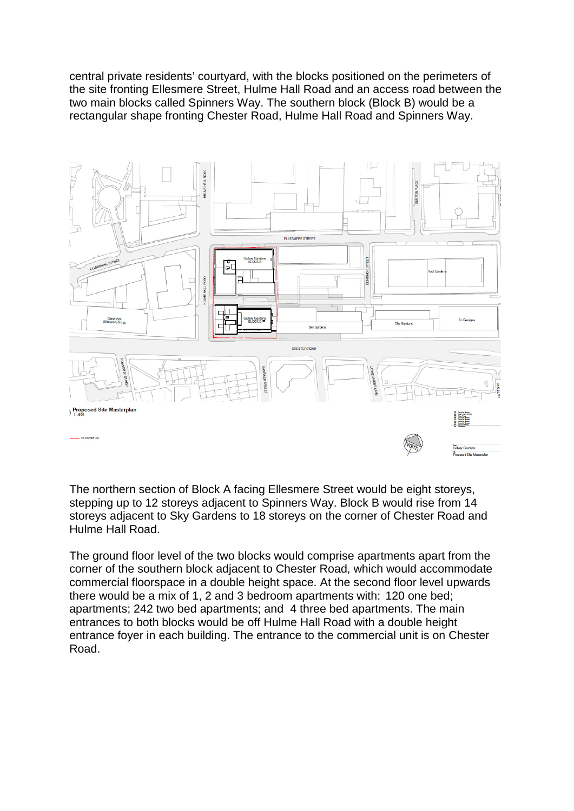central private residents' courtyard, with the blocks positioned on the perimeters of the site fronting Ellesmere Street, Hulme Hall Road and an access road between the two main blocks called Spinners Way. The southern block (Block B) would be a rectangular shape fronting Chester Road, Hulme Hall Road and Spinners Way.



The northern section of Block A facing Ellesmere Street would be eight storeys, stepping up to 12 storeys adjacent to Spinners Way. Block B would rise from 14 storeys adjacent to Sky Gardens to 18 storeys on the corner of Chester Road and Hulme Hall Road.

The ground floor level of the two blocks would comprise apartments apart from the corner of the southern block adjacent to Chester Road, which would accommodate commercial floorspace in a double height space. At the second floor level upwards there would be a mix of 1, 2 and 3 bedroom apartments with: 120 one bed; apartments; 242 two bed apartments; and 4 three bed apartments. The main entrances to both blocks would be off Hulme Hall Road with a double height entrance foyer in each building. The entrance to the commercial unit is on Chester Road.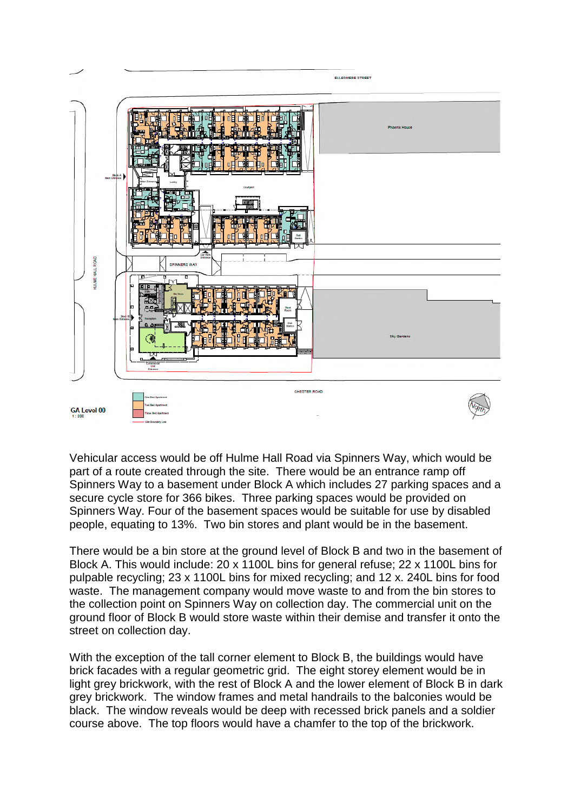

Vehicular access would be off Hulme Hall Road via Spinners Way, which would be part of a route created through the site. There would be an entrance ramp off Spinners Way to a basement under Block A which includes 27 parking spaces and a secure cycle store for 366 bikes. Three parking spaces would be provided on Spinners Way. Four of the basement spaces would be suitable for use by disabled people, equating to 13%. Two bin stores and plant would be in the basement.

There would be a bin store at the ground level of Block B and two in the basement of Block A. This would include: 20 x 1100L bins for general refuse; 22 x 1100L bins for pulpable recycling; 23 x 1100L bins for mixed recycling; and 12 x. 240L bins for food waste. The management company would move waste to and from the bin stores to the collection point on Spinners Way on collection day. The commercial unit on the ground floor of Block B would store waste within their demise and transfer it onto the street on collection day.

With the exception of the tall corner element to Block B, the buildings would have brick facades with a regular geometric grid. The eight storey element would be in light grey brickwork, with the rest of Block A and the lower element of Block B in dark grey brickwork. The window frames and metal handrails to the balconies would be black. The window reveals would be deep with recessed brick panels and a soldier course above. The top floors would have a chamfer to the top of the brickwork.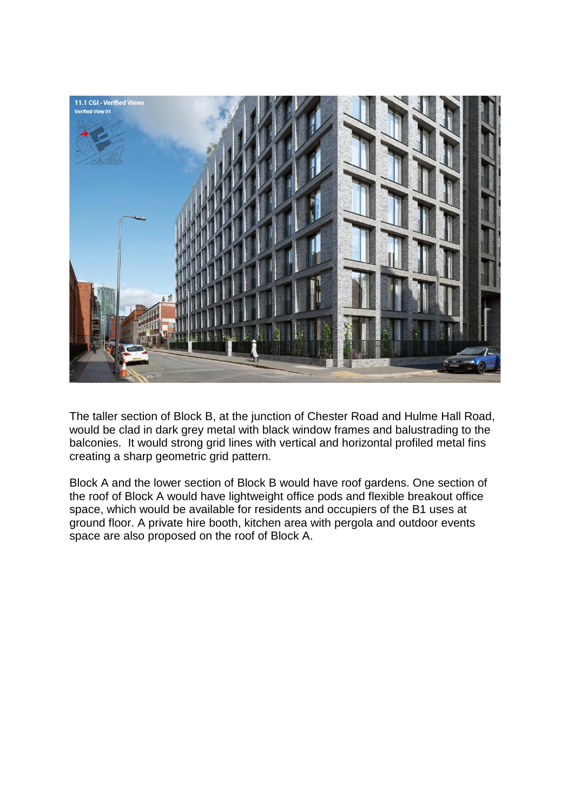

The taller section of Block B, at the junction of Chester Road and Hulme Hall Road, would be clad in dark grey metal with black window frames and balustrading to the balconies. It would strong grid lines with vertical and horizontal profiled metal fins creating a sharp geometric grid pattern.

Block A and the lower section of Block B would have roof gardens. One section of the roof of Block A would have lightweight office pods and flexible breakout office space, which would be available for residents and occupiers of the B1 uses at ground floor. A private hire booth, kitchen area with pergola and outdoor events space are also proposed on the roof of Block A.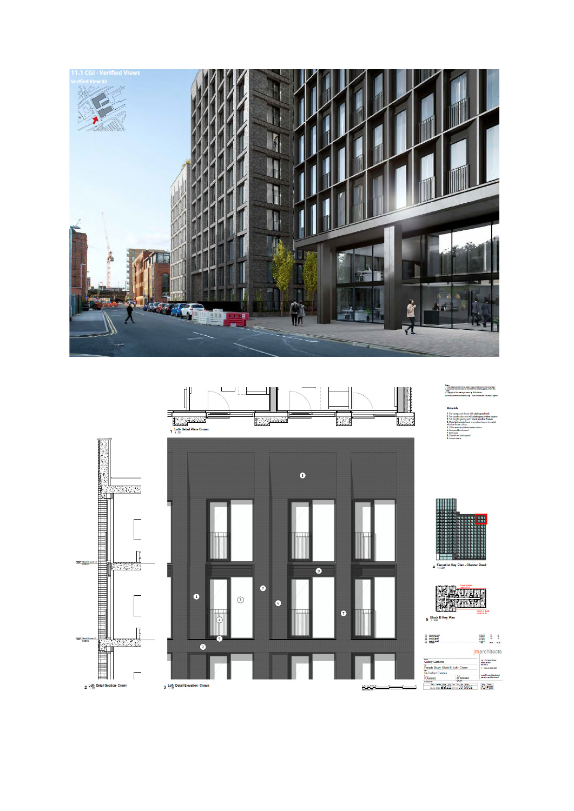



Nebo.<br>1. This Develop introduced by usaind, figure dimensions only take them.<br>2. Houstony class persons be hourdwith the cheeking planes inform the<br>3. Capyright of the down by bowered by JAAA to the cla<br>Develops informatio

i faced with <mark>dark grey brick</mark><br>ir unit with **dark grey zoldier course**<br>zing with **black window frames**<br>de fount to window frame. To match





 $\begin{array}{cccc} 0.8594 & & 0 & & 0\\ 0.8594 & & 0 & & 0\\ 0.9594 & & 0 & & 0\\ 0.0254 & & & & & &\\ 0.0254 & & & & & &\\ 0.0254 & & & & & &\\ \end{array}$ 

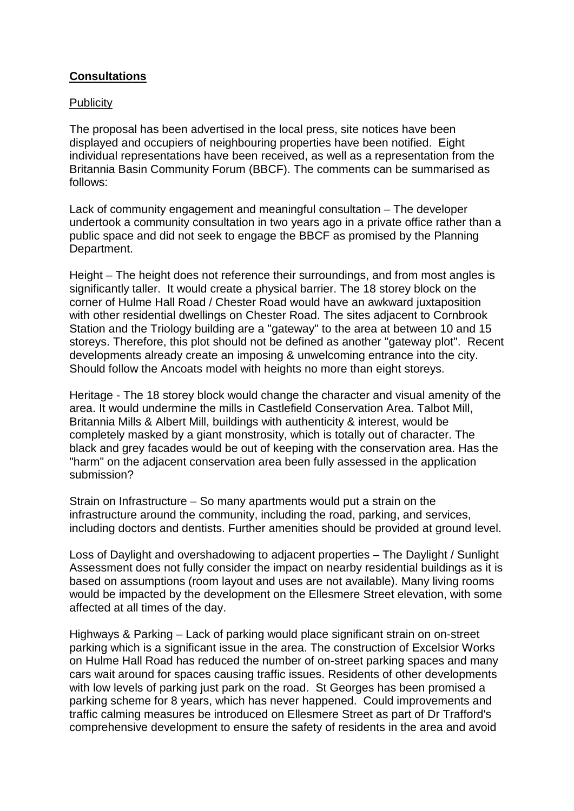# **Consultations**

#### **Publicity**

The proposal has been advertised in the local press, site notices have been displayed and occupiers of neighbouring properties have been notified. Eight individual representations have been received, as well as a representation from the Britannia Basin Community Forum (BBCF). The comments can be summarised as follows:

Lack of community engagement and meaningful consultation – The developer undertook a community consultation in two years ago in a private office rather than a public space and did not seek to engage the BBCF as promised by the Planning Department.

Height – The height does not reference their surroundings, and from most angles is significantly taller. It would create a physical barrier. The 18 storey block on the corner of Hulme Hall Road / Chester Road would have an awkward juxtaposition with other residential dwellings on Chester Road. The sites adjacent to Cornbrook Station and the Triology building are a "gateway" to the area at between 10 and 15 storeys. Therefore, this plot should not be defined as another "gateway plot". Recent developments already create an imposing & unwelcoming entrance into the city. Should follow the Ancoats model with heights no more than eight storeys.

Heritage - The 18 storey block would change the character and visual amenity of the area. It would undermine the mills in Castlefield Conservation Area. Talbot Mill, Britannia Mills & Albert Mill, buildings with authenticity & interest, would be completely masked by a giant monstrosity, which is totally out of character. The black and grey facades would be out of keeping with the conservation area. Has the "harm" on the adjacent conservation area been fully assessed in the application submission?

Strain on Infrastructure – So many apartments would put a strain on the infrastructure around the community, including the road, parking, and services, including doctors and dentists. Further amenities should be provided at ground level.

Loss of Daylight and overshadowing to adjacent properties – The Daylight / Sunlight Assessment does not fully consider the impact on nearby residential buildings as it is based on assumptions (room layout and uses are not available). Many living rooms would be impacted by the development on the Ellesmere Street elevation, with some affected at all times of the day.

Highways & Parking – Lack of parking would place significant strain on on-street parking which is a significant issue in the area. The construction of Excelsior Works on Hulme Hall Road has reduced the number of on-street parking spaces and many cars wait around for spaces causing traffic issues. Residents of other developments with low levels of parking just park on the road. St Georges has been promised a parking scheme for 8 years, which has never happened. Could improvements and traffic calming measures be introduced on Ellesmere Street as part of Dr Trafford's comprehensive development to ensure the safety of residents in the area and avoid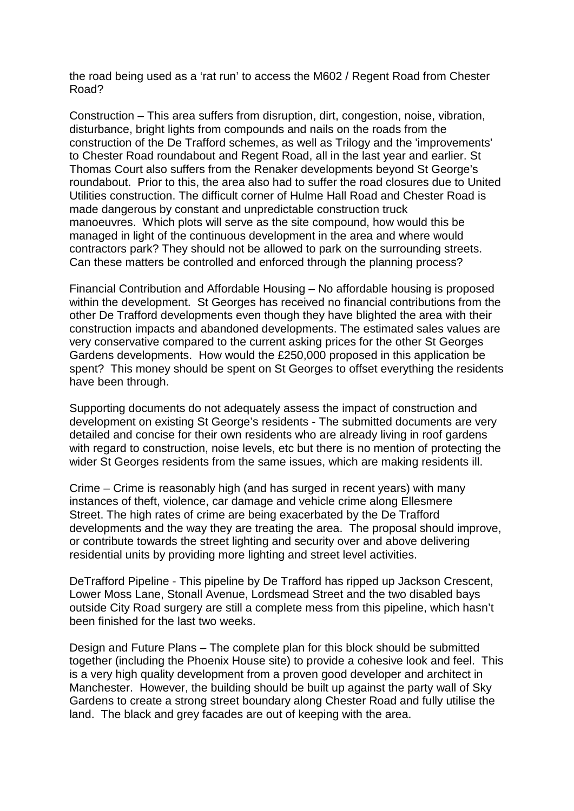the road being used as a 'rat run' to access the M602 / Regent Road from Chester Road?

Construction – This area suffers from disruption, dirt, congestion, noise, vibration, disturbance, bright lights from compounds and nails on the roads from the construction of the De Trafford schemes, as well as Trilogy and the 'improvements' to Chester Road roundabout and Regent Road, all in the last year and earlier. St Thomas Court also suffers from the Renaker developments beyond St George's roundabout. Prior to this, the area also had to suffer the road closures due to United Utilities construction. The difficult corner of Hulme Hall Road and Chester Road is made dangerous by constant and unpredictable construction truck manoeuvres. Which plots will serve as the site compound, how would this be managed in light of the continuous development in the area and where would contractors park? They should not be allowed to park on the surrounding streets. Can these matters be controlled and enforced through the planning process?

Financial Contribution and Affordable Housing – No affordable housing is proposed within the development. St Georges has received no financial contributions from the other De Trafford developments even though they have blighted the area with their construction impacts and abandoned developments. The estimated sales values are very conservative compared to the current asking prices for the other St Georges Gardens developments. How would the £250,000 proposed in this application be spent? This money should be spent on St Georges to offset everything the residents have been through.

Supporting documents do not adequately assess the impact of construction and development on existing St George's residents - The submitted documents are very detailed and concise for their own residents who are already living in roof gardens with regard to construction, noise levels, etc but there is no mention of protecting the wider St Georges residents from the same issues, which are making residents ill.

Crime – Crime is reasonably high (and has surged in recent years) with many instances of theft, violence, car damage and vehicle crime along Ellesmere Street. The high rates of crime are being exacerbated by the De Trafford developments and the way they are treating the area. The proposal should improve, or contribute towards the street lighting and security over and above delivering residential units by providing more lighting and street level activities.

DeTrafford Pipeline - This pipeline by De Trafford has ripped up Jackson Crescent, Lower Moss Lane, Stonall Avenue, Lordsmead Street and the two disabled bays outside City Road surgery are still a complete mess from this pipeline, which hasn't been finished for the last two weeks.

Design and Future Plans – The complete plan for this block should be submitted together (including the Phoenix House site) to provide a cohesive look and feel. This is a very high quality development from a proven good developer and architect in Manchester. However, the building should be built up against the party wall of Sky Gardens to create a strong street boundary along Chester Road and fully utilise the land. The black and grey facades are out of keeping with the area.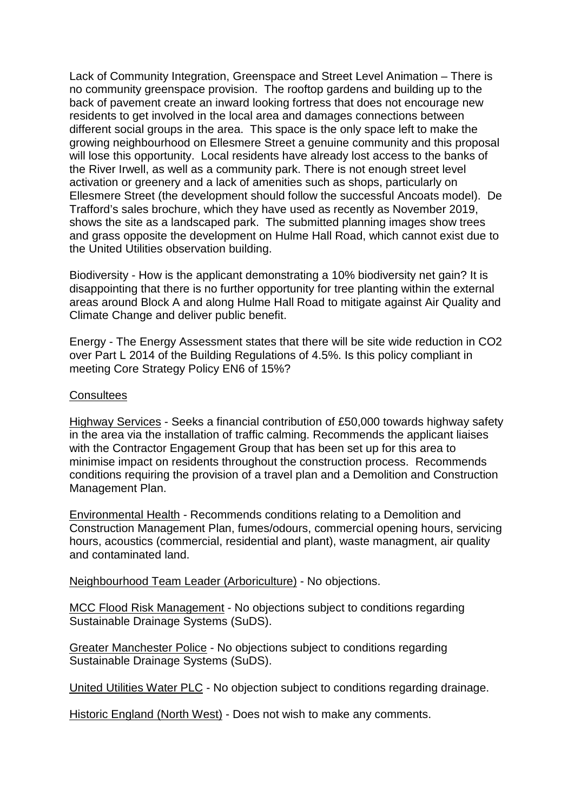Lack of Community Integration, Greenspace and Street Level Animation – There is no community greenspace provision. The rooftop gardens and building up to the back of pavement create an inward looking fortress that does not encourage new residents to get involved in the local area and damages connections between different social groups in the area. This space is the only space left to make the growing neighbourhood on Ellesmere Street a genuine community and this proposal will lose this opportunity. Local residents have already lost access to the banks of the River Irwell, as well as a community park. There is not enough street level activation or greenery and a lack of amenities such as shops, particularly on Ellesmere Street (the development should follow the successful Ancoats model). De Trafford's sales brochure, which they have used as recently as November 2019, shows the site as a landscaped park. The submitted planning images show trees and grass opposite the development on Hulme Hall Road, which cannot exist due to the United Utilities observation building.

Biodiversity - How is the applicant demonstrating a 10% biodiversity net gain? It is disappointing that there is no further opportunity for tree planting within the external areas around Block A and along Hulme Hall Road to mitigate against Air Quality and Climate Change and deliver public benefit.

Energy - The Energy Assessment states that there will be site wide reduction in CO2 over Part L 2014 of the Building Regulations of 4.5%. Is this policy compliant in meeting Core Strategy Policy EN6 of 15%?

#### **Consultees**

Highway Services - Seeks a financial contribution of £50,000 towards highway safety in the area via the installation of traffic calming. Recommends the applicant liaises with the Contractor Engagement Group that has been set up for this area to minimise impact on residents throughout the construction process. Recommends conditions requiring the provision of a travel plan and a Demolition and Construction Management Plan.

Environmental Health - Recommends conditions relating to a Demolition and Construction Management Plan, fumes/odours, commercial opening hours, servicing hours, acoustics (commercial, residential and plant), waste managment, air quality and contaminated land.

Neighbourhood Team Leader (Arboriculture) - No objections.

MCC Flood Risk Management - No objections subject to conditions regarding Sustainable Drainage Systems (SuDS).

Greater Manchester Police - No objections subject to conditions regarding Sustainable Drainage Systems (SuDS).

United Utilities Water PLC - No objection subject to conditions regarding drainage.

Historic England (North West) - Does not wish to make any comments.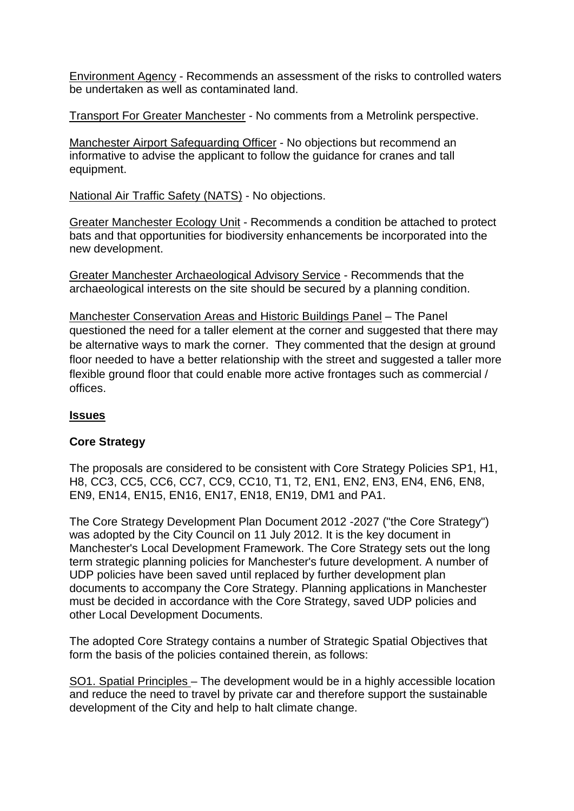Environment Agency - Recommends an assessment of the risks to controlled waters be undertaken as well as contaminated land.

Transport For Greater Manchester - No comments from a Metrolink perspective.

Manchester Airport Safeguarding Officer - No objections but recommend an informative to advise the applicant to follow the guidance for cranes and tall equipment.

National Air Traffic Safety (NATS) - No objections.

Greater Manchester Ecology Unit - Recommends a condition be attached to protect bats and that opportunities for biodiversity enhancements be incorporated into the new development.

Greater Manchester Archaeological Advisory Service - Recommends that the archaeological interests on the site should be secured by a planning condition.

Manchester Conservation Areas and Historic Buildings Panel – The Panel questioned the need for a taller element at the corner and suggested that there may be alternative ways to mark the corner. They commented that the design at ground floor needed to have a better relationship with the street and suggested a taller more flexible ground floor that could enable more active frontages such as commercial / offices.

# **Issues**

## **Core Strategy**

The proposals are considered to be consistent with Core Strategy Policies SP1, H1, H8, CC3, CC5, CC6, CC7, CC9, CC10, T1, T2, EN1, EN2, EN3, EN4, EN6, EN8, EN9, EN14, EN15, EN16, EN17, EN18, EN19, DM1 and PA1.

The Core Strategy Development Plan Document 2012 -2027 ("the Core Strategy") was adopted by the City Council on 11 July 2012. It is the key document in Manchester's Local Development Framework. The Core Strategy sets out the long term strategic planning policies for Manchester's future development. A number of UDP policies have been saved until replaced by further development plan documents to accompany the Core Strategy. Planning applications in Manchester must be decided in accordance with the Core Strategy, saved UDP policies and other Local Development Documents.

The adopted Core Strategy contains a number of Strategic Spatial Objectives that form the basis of the policies contained therein, as follows:

SO1. Spatial Principles – The development would be in a highly accessible location and reduce the need to travel by private car and therefore support the sustainable development of the City and help to halt climate change.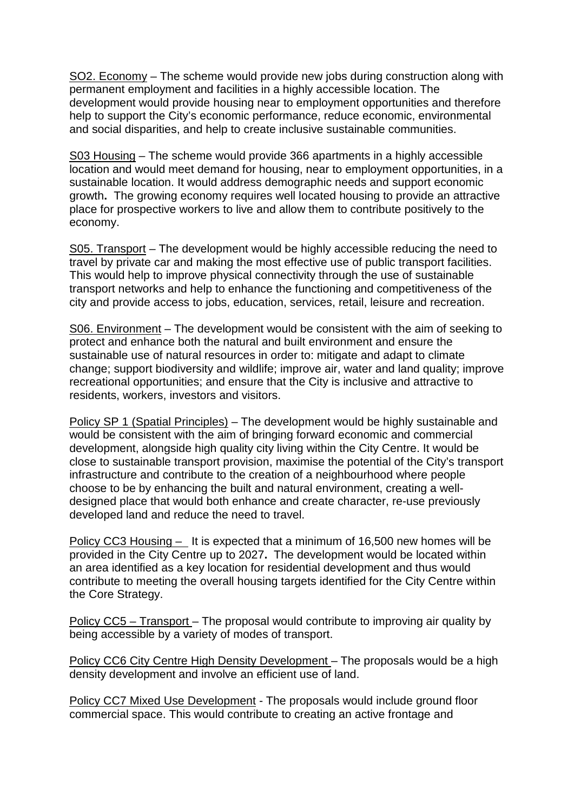SO2. Economy – The scheme would provide new jobs during construction along with permanent employment and facilities in a highly accessible location. The development would provide housing near to employment opportunities and therefore help to support the City's economic performance, reduce economic, environmental and social disparities, and help to create inclusive sustainable communities.

S03 Housing – The scheme would provide 366 apartments in a highly accessible location and would meet demand for housing, near to employment opportunities, in a sustainable location. It would address demographic needs and support economic growth**.** The growing economy requires well located housing to provide an attractive place for prospective workers to live and allow them to contribute positively to the economy.

S05. Transport – The development would be highly accessible reducing the need to travel by private car and making the most effective use of public transport facilities. This would help to improve physical connectivity through the use of sustainable transport networks and help to enhance the functioning and competitiveness of the city and provide access to jobs, education, services, retail, leisure and recreation.

S06. Environment – The development would be consistent with the aim of seeking to protect and enhance both the natural and built environment and ensure the sustainable use of natural resources in order to: mitigate and adapt to climate change; support biodiversity and wildlife; improve air, water and land quality; improve recreational opportunities; and ensure that the City is inclusive and attractive to residents, workers, investors and visitors.

Policy SP 1 (Spatial Principles) – The development would be highly sustainable and would be consistent with the aim of bringing forward economic and commercial development, alongside high quality city living within the City Centre. It would be close to sustainable transport provision, maximise the potential of the City's transport infrastructure and contribute to the creation of a neighbourhood where people choose to be by enhancing the built and natural environment, creating a welldesigned place that would both enhance and create character, re-use previously developed land and reduce the need to travel.

Policy CC3 Housing – It is expected that a minimum of 16,500 new homes will be provided in the City Centre up to 2027**.** The development would be located within an area identified as a key location for residential development and thus would contribute to meeting the overall housing targets identified for the City Centre within the Core Strategy.

Policy CC5 – Transport – The proposal would contribute to improving air quality by being accessible by a variety of modes of transport.

Policy CC6 City Centre High Density Development – The proposals would be a high density development and involve an efficient use of land.

Policy CC7 Mixed Use Development - The proposals would include ground floor commercial space. This would contribute to creating an active frontage and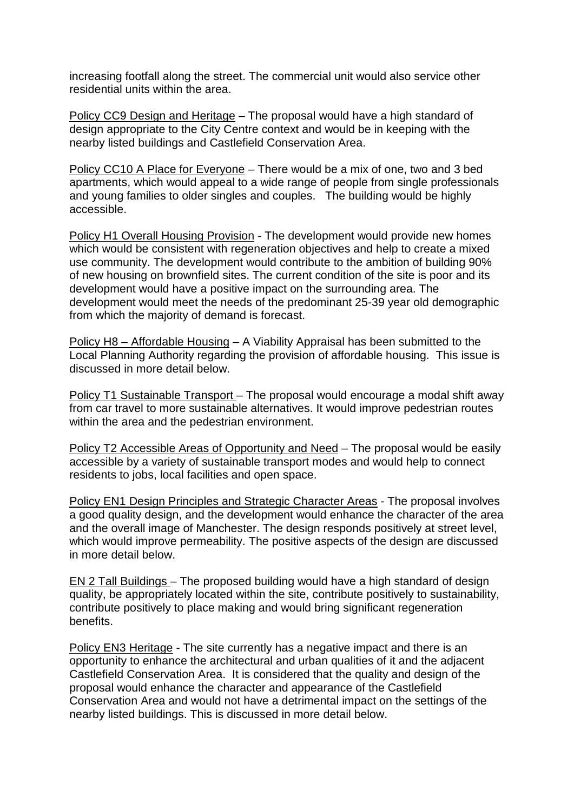increasing footfall along the street. The commercial unit would also service other residential units within the area.

Policy CC9 Design and Heritage - The proposal would have a high standard of design appropriate to the City Centre context and would be in keeping with the nearby listed buildings and Castlefield Conservation Area.

Policy CC10 A Place for Everyone – There would be a mix of one, two and 3 bed apartments, which would appeal to a wide range of people from single professionals and young families to older singles and couples. The building would be highly accessible.

Policy H1 Overall Housing Provision - The development would provide new homes which would be consistent with regeneration objectives and help to create a mixed use community. The development would contribute to the ambition of building 90% of new housing on brownfield sites. The current condition of the site is poor and its development would have a positive impact on the surrounding area. The development would meet the needs of the predominant 25-39 year old demographic from which the majority of demand is forecast.

Policy H8 – Affordable Housing – A Viability Appraisal has been submitted to the Local Planning Authority regarding the provision of affordable housing. This issue is discussed in more detail below.

Policy T1 Sustainable Transport – The proposal would encourage a modal shift away from car travel to more sustainable alternatives. It would improve pedestrian routes within the area and the pedestrian environment.

Policy T2 Accessible Areas of Opportunity and Need – The proposal would be easily accessible by a variety of sustainable transport modes and would help to connect residents to jobs, local facilities and open space.

Policy EN1 Design Principles and Strategic Character Areas - The proposal involves a good quality design, and the development would enhance the character of the area and the overall image of Manchester. The design responds positively at street level, which would improve permeability. The positive aspects of the design are discussed in more detail below.

EN 2 Tall Buildings – The proposed building would have a high standard of design quality, be appropriately located within the site, contribute positively to sustainability, contribute positively to place making and would bring significant regeneration benefits.

Policy EN3 Heritage - The site currently has a negative impact and there is an opportunity to enhance the architectural and urban qualities of it and the adjacent Castlefield Conservation Area. It is considered that the quality and design of the proposal would enhance the character and appearance of the Castlefield Conservation Area and would not have a detrimental impact on the settings of the nearby listed buildings. This is discussed in more detail below.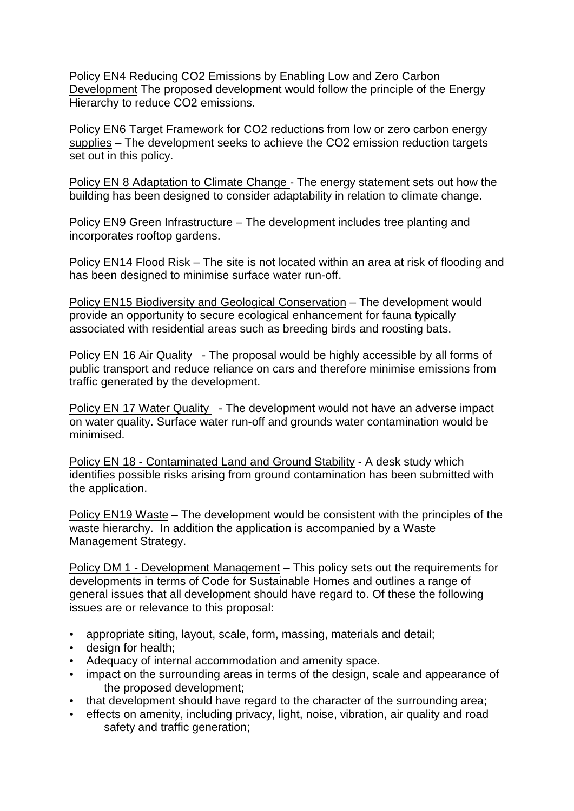Policy EN4 Reducing CO2 Emissions by Enabling Low and Zero Carbon Development The proposed development would follow the principle of the Energy Hierarchy to reduce CO2 emissions.

Policy EN6 Target Framework for CO2 reductions from low or zero carbon energy supplies – The development seeks to achieve the CO2 emission reduction targets set out in this policy.

Policy EN 8 Adaptation to Climate Change - The energy statement sets out how the building has been designed to consider adaptability in relation to climate change.

Policy EN9 Green Infrastructure – The development includes tree planting and incorporates rooftop gardens.

Policy EN14 Flood Risk – The site is not located within an area at risk of flooding and has been designed to minimise surface water run-off.

Policy EN15 Biodiversity and Geological Conservation – The development would provide an opportunity to secure ecological enhancement for fauna typically associated with residential areas such as breeding birds and roosting bats.

Policy EN 16 Air Quality - The proposal would be highly accessible by all forms of public transport and reduce reliance on cars and therefore minimise emissions from traffic generated by the development.

Policy EN 17 Water Quality - The development would not have an adverse impact on water quality. Surface water run-off and grounds water contamination would be minimised.

Policy EN 18 - Contaminated Land and Ground Stability - A desk study which identifies possible risks arising from ground contamination has been submitted with the application.

Policy EN19 Waste – The development would be consistent with the principles of the waste hierarchy. In addition the application is accompanied by a Waste Management Strategy.

Policy DM 1 - Development Management – This policy sets out the requirements for developments in terms of Code for Sustainable Homes and outlines a range of general issues that all development should have regard to. Of these the following issues are or relevance to this proposal:

- appropriate siting, layout, scale, form, massing, materials and detail;
- design for health;
- Adequacy of internal accommodation and amenity space.
- impact on the surrounding areas in terms of the design, scale and appearance of the proposed development;
- that development should have regard to the character of the surrounding area;
- effects on amenity, including privacy, light, noise, vibration, air quality and road safety and traffic generation;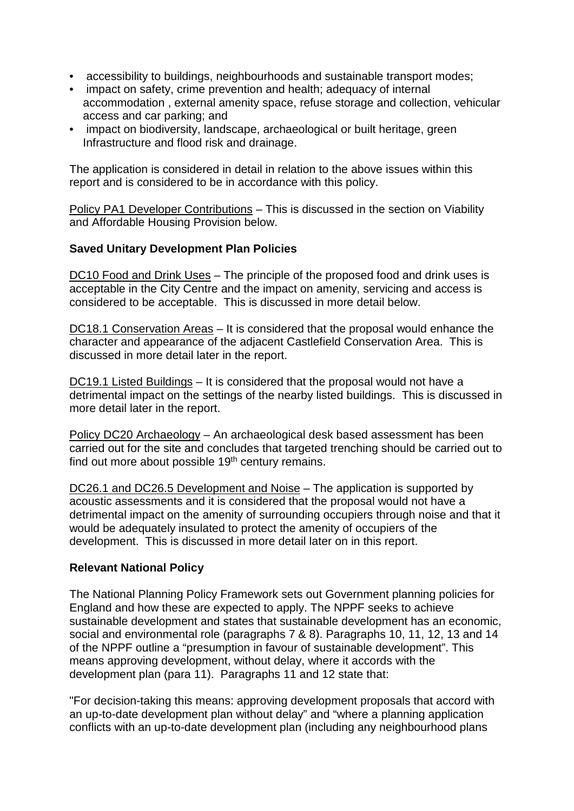- accessibility to buildings, neighbourhoods and sustainable transport modes;
- impact on safety, crime prevention and health; adequacy of internal accommodation , external amenity space, refuse storage and collection, vehicular access and car parking; and
- impact on biodiversity, landscape, archaeological or built heritage, green Infrastructure and flood risk and drainage.

The application is considered in detail in relation to the above issues within this report and is considered to be in accordance with this policy.

Policy PA1 Developer Contributions – This is discussed in the section on Viability and Affordable Housing Provision below.

# **Saved Unitary Development Plan Policies**

DC10 Food and Drink Uses – The principle of the proposed food and drink uses is acceptable in the City Centre and the impact on amenity, servicing and access is considered to be acceptable. This is discussed in more detail below.

DC18.1 Conservation Areas - It is considered that the proposal would enhance the character and appearance of the adjacent Castlefield Conservation Area. This is discussed in more detail later in the report.

DC19.1 Listed Buildings – It is considered that the proposal would not have a detrimental impact on the settings of the nearby listed buildings. This is discussed in more detail later in the report.

Policy DC20 Archaeology – An archaeological desk based assessment has been carried out for the site and concludes that targeted trenching should be carried out to find out more about possible 19<sup>th</sup> century remains.

DC26.1 and DC26.5 Development and Noise – The application is supported by acoustic assessments and it is considered that the proposal would not have a detrimental impact on the amenity of surrounding occupiers through noise and that it would be adequately insulated to protect the amenity of occupiers of the development. This is discussed in more detail later on in this report.

## **Relevant National Policy**

The National Planning Policy Framework sets out Government planning policies for England and how these are expected to apply. The NPPF seeks to achieve sustainable development and states that sustainable development has an economic, social and environmental role (paragraphs 7 & 8). Paragraphs 10, 11, 12, 13 and 14 of the NPPF outline a "presumption in favour of sustainable development". This means approving development, without delay, where it accords with the development plan (para 11). Paragraphs 11 and 12 state that:

"For decision-taking this means: approving development proposals that accord with an up-to-date development plan without delay" and "where a planning application conflicts with an up-to-date development plan (including any neighbourhood plans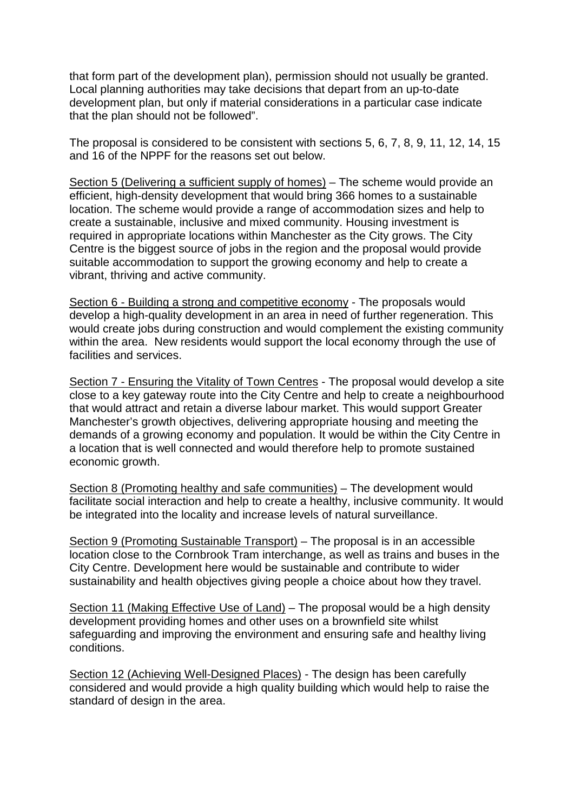that form part of the development plan), permission should not usually be granted. Local planning authorities may take decisions that depart from an up-to-date development plan, but only if material considerations in a particular case indicate that the plan should not be followed".

The proposal is considered to be consistent with sections 5, 6, 7, 8, 9, 11, 12, 14, 15 and 16 of the NPPF for the reasons set out below.

Section 5 (Delivering a sufficient supply of homes) – The scheme would provide an efficient, high-density development that would bring 366 homes to a sustainable location. The scheme would provide a range of accommodation sizes and help to create a sustainable, inclusive and mixed community. Housing investment is required in appropriate locations within Manchester as the City grows. The City Centre is the biggest source of jobs in the region and the proposal would provide suitable accommodation to support the growing economy and help to create a vibrant, thriving and active community.

Section 6 - Building a strong and competitive economy - The proposals would develop a high-quality development in an area in need of further regeneration. This would create jobs during construction and would complement the existing community within the area. New residents would support the local economy through the use of facilities and services.

Section 7 - Ensuring the Vitality of Town Centres - The proposal would develop a site close to a key gateway route into the City Centre and help to create a neighbourhood that would attract and retain a diverse labour market. This would support Greater Manchester's growth objectives, delivering appropriate housing and meeting the demands of a growing economy and population. It would be within the City Centre in a location that is well connected and would therefore help to promote sustained economic growth.

Section 8 (Promoting healthy and safe communities) – The development would facilitate social interaction and help to create a healthy, inclusive community. It would be integrated into the locality and increase levels of natural surveillance.

Section 9 (Promoting Sustainable Transport) – The proposal is in an accessible location close to the Cornbrook Tram interchange, as well as trains and buses in the City Centre. Development here would be sustainable and contribute to wider sustainability and health objectives giving people a choice about how they travel.

Section 11 (Making Effective Use of Land) – The proposal would be a high density development providing homes and other uses on a brownfield site whilst safeguarding and improving the environment and ensuring safe and healthy living conditions.

Section 12 (Achieving Well-Designed Places) - The design has been carefully considered and would provide a high quality building which would help to raise the standard of design in the area.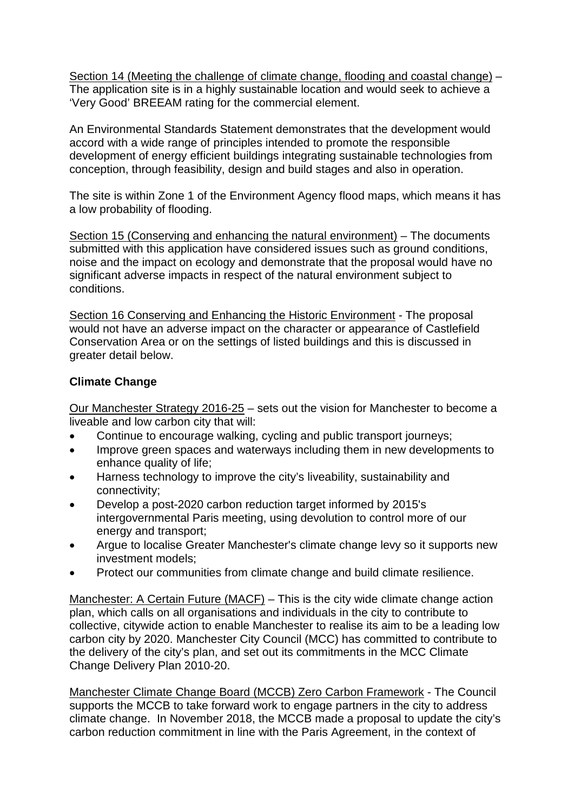Section 14 (Meeting the challenge of climate change, flooding and coastal change) – The application site is in a highly sustainable location and would seek to achieve a 'Very Good' BREEAM rating for the commercial element.

An Environmental Standards Statement demonstrates that the development would accord with a wide range of principles intended to promote the responsible development of energy efficient buildings integrating sustainable technologies from conception, through feasibility, design and build stages and also in operation.

The site is within Zone 1 of the Environment Agency flood maps, which means it has a low probability of flooding.

Section 15 (Conserving and enhancing the natural environment) – The documents submitted with this application have considered issues such as ground conditions, noise and the impact on ecology and demonstrate that the proposal would have no significant adverse impacts in respect of the natural environment subject to conditions.

Section 16 Conserving and Enhancing the Historic Environment - The proposal would not have an adverse impact on the character or appearance of Castlefield Conservation Area or on the settings of listed buildings and this is discussed in greater detail below.

# **Climate Change**

Our Manchester Strategy 2016-25 – sets out the vision for Manchester to become a liveable and low carbon city that will:

- Continue to encourage walking, cycling and public transport journeys;
- Improve green spaces and waterways including them in new developments to enhance quality of life;
- Harness technology to improve the city's liveability, sustainability and connectivity;
- Develop a post-2020 carbon reduction target informed by 2015's intergovernmental Paris meeting, using devolution to control more of our energy and transport;
- Argue to localise Greater Manchester's climate change levy so it supports new investment models;
- Protect our communities from climate change and build climate resilience.

Manchester: A Certain Future (MACF) – This is the city wide climate change action plan, which calls on all organisations and individuals in the city to contribute to collective, citywide action to enable Manchester to realise its aim to be a leading low carbon city by 2020. Manchester City Council (MCC) has committed to contribute to the delivery of the city's plan, and set out its commitments in the MCC Climate Change Delivery Plan 2010-20.

Manchester Climate Change Board (MCCB) Zero Carbon Framework - The Council supports the MCCB to take forward work to engage partners in the city to address climate change. In November 2018, the MCCB made a proposal to update the city's carbon reduction commitment in line with the Paris Agreement, in the context of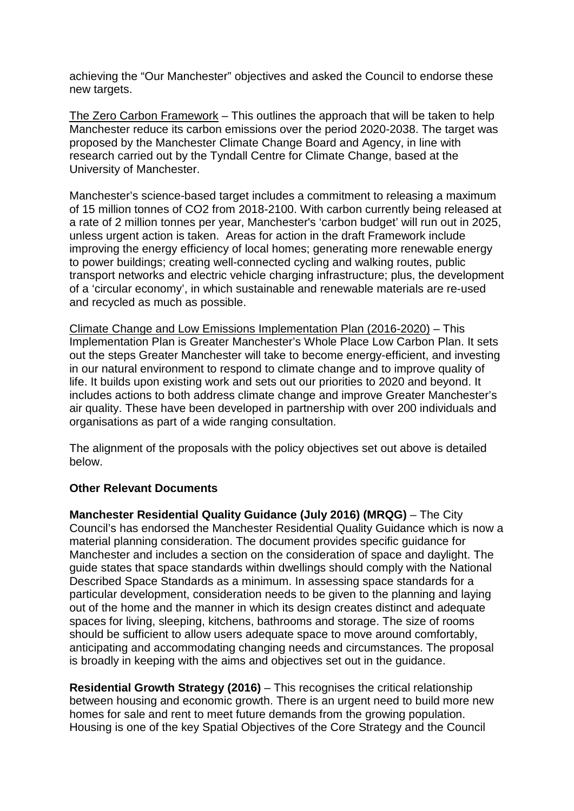achieving the "Our Manchester" objectives and asked the Council to endorse these new targets.

The Zero Carbon Framework – This outlines the approach that will be taken to help Manchester reduce its carbon emissions over the period 2020-2038. The target was proposed by the Manchester Climate Change Board and Agency, in line with research carried out by the Tyndall Centre for Climate Change, based at the University of Manchester.

Manchester's science-based target includes a commitment to releasing a maximum of 15 million tonnes of CO2 from 2018-2100. With carbon currently being released at a rate of 2 million tonnes per year, Manchester's 'carbon budget' will run out in 2025, unless urgent action is taken. Areas for action in the draft Framework include improving the energy efficiency of local homes; generating more renewable energy to power buildings; creating well-connected cycling and walking routes, public transport networks and electric vehicle charging infrastructure; plus, the development of a 'circular economy', in which sustainable and renewable materials are re-used and recycled as much as possible.

Climate Change and Low Emissions Implementation Plan (2016-2020) – This Implementation Plan is Greater Manchester's Whole Place Low Carbon Plan. It sets out the steps Greater Manchester will take to become energy-efficient, and investing in our natural environment to respond to climate change and to improve quality of life. It builds upon existing work and sets out our priorities to 2020 and beyond. It includes actions to both address climate change and improve Greater Manchester's air quality. These have been developed in partnership with over 200 individuals and organisations as part of a wide ranging consultation.

The alignment of the proposals with the policy objectives set out above is detailed below.

## **Other Relevant Documents**

**Manchester Residential Quality Guidance (July 2016) (MRQG)** – The City Council's has endorsed the Manchester Residential Quality Guidance which is now a material planning consideration. The document provides specific guidance for Manchester and includes a section on the consideration of space and daylight. The guide states that space standards within dwellings should comply with the National Described Space Standards as a minimum. In assessing space standards for a particular development, consideration needs to be given to the planning and laying out of the home and the manner in which its design creates distinct and adequate spaces for living, sleeping, kitchens, bathrooms and storage. The size of rooms should be sufficient to allow users adequate space to move around comfortably, anticipating and accommodating changing needs and circumstances. The proposal is broadly in keeping with the aims and objectives set out in the guidance.

**Residential Growth Strategy (2016)** – This recognises the critical relationship between housing and economic growth. There is an urgent need to build more new homes for sale and rent to meet future demands from the growing population. Housing is one of the key Spatial Objectives of the Core Strategy and the Council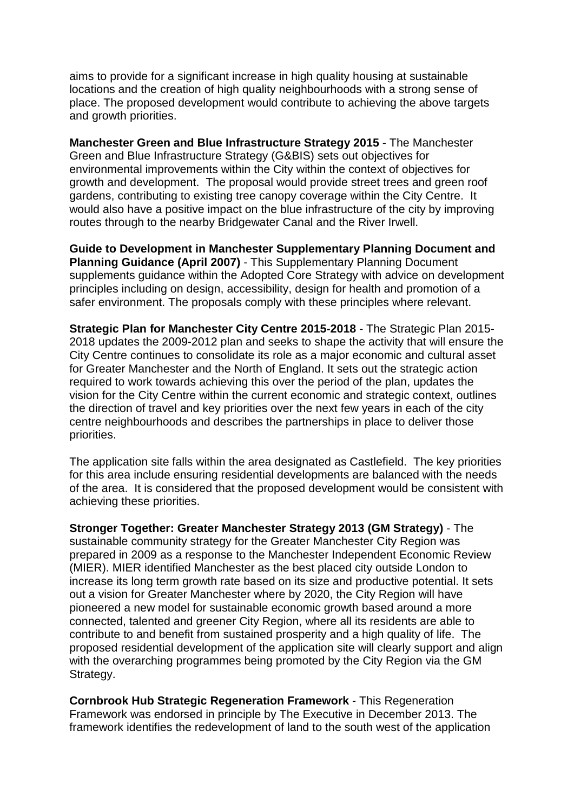aims to provide for a significant increase in high quality housing at sustainable locations and the creation of high quality neighbourhoods with a strong sense of place. The proposed development would contribute to achieving the above targets and growth priorities.

**Manchester Green and Blue Infrastructure Strategy 2015** - The Manchester Green and Blue Infrastructure Strategy (G&BIS) sets out objectives for environmental improvements within the City within the context of objectives for growth and development. The proposal would provide street trees and green roof gardens, contributing to existing tree canopy coverage within the City Centre. It would also have a positive impact on the blue infrastructure of the city by improving routes through to the nearby Bridgewater Canal and the River Irwell.

**Guide to Development in Manchester Supplementary Planning Document and Planning Guidance (April 2007)** - This Supplementary Planning Document supplements guidance within the Adopted Core Strategy with advice on development principles including on design, accessibility, design for health and promotion of a safer environment. The proposals comply with these principles where relevant.

**Strategic Plan for Manchester City Centre 2015-2018** - The Strategic Plan 2015- 2018 updates the 2009-2012 plan and seeks to shape the activity that will ensure the City Centre continues to consolidate its role as a major economic and cultural asset for Greater Manchester and the North of England. It sets out the strategic action required to work towards achieving this over the period of the plan, updates the vision for the City Centre within the current economic and strategic context, outlines the direction of travel and key priorities over the next few years in each of the city centre neighbourhoods and describes the partnerships in place to deliver those priorities.

The application site falls within the area designated as Castlefield. The key priorities for this area include ensuring residential developments are balanced with the needs of the area. It is considered that the proposed development would be consistent with achieving these priorities.

**Stronger Together: Greater Manchester Strategy 2013 (GM Strategy)** - The sustainable community strategy for the Greater Manchester City Region was prepared in 2009 as a response to the Manchester Independent Economic Review (MIER). MIER identified Manchester as the best placed city outside London to increase its long term growth rate based on its size and productive potential. It sets out a vision for Greater Manchester where by 2020, the City Region will have pioneered a new model for sustainable economic growth based around a more connected, talented and greener City Region, where all its residents are able to contribute to and benefit from sustained prosperity and a high quality of life. The proposed residential development of the application site will clearly support and align with the overarching programmes being promoted by the City Region via the GM Strategy.

**Cornbrook Hub Strategic Regeneration Framework** - This Regeneration Framework was endorsed in principle by The Executive in December 2013. The framework identifies the redevelopment of land to the south west of the application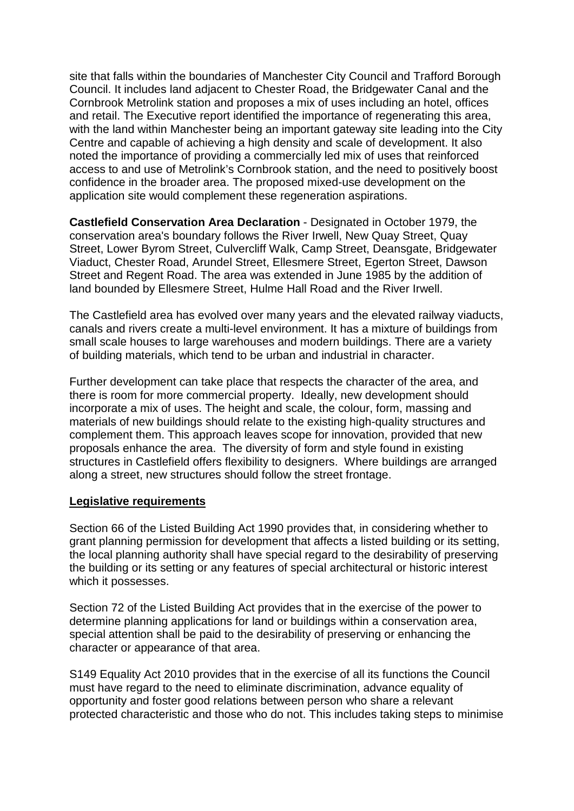site that falls within the boundaries of Manchester City Council and Trafford Borough Council. It includes land adjacent to Chester Road, the Bridgewater Canal and the Cornbrook Metrolink station and proposes a mix of uses including an hotel, offices and retail. The Executive report identified the importance of regenerating this area, with the land within Manchester being an important gateway site leading into the City Centre and capable of achieving a high density and scale of development. It also noted the importance of providing a commercially led mix of uses that reinforced access to and use of Metrolink's Cornbrook station, and the need to positively boost confidence in the broader area. The proposed mixed-use development on the application site would complement these regeneration aspirations.

**Castlefield Conservation Area Declaration** - Designated in October 1979, the conservation area's boundary follows the River Irwell, New Quay Street, Quay Street, Lower Byrom Street, Culvercliff Walk, Camp Street, Deansgate, Bridgewater Viaduct, Chester Road, Arundel Street, Ellesmere Street, Egerton Street, Dawson Street and Regent Road. The area was extended in June 1985 by the addition of land bounded by Ellesmere Street, Hulme Hall Road and the River Irwell.

The Castlefield area has evolved over many years and the elevated railway viaducts, canals and rivers create a multi-level environment. It has a mixture of buildings from small scale houses to large warehouses and modern buildings. There are a variety of building materials, which tend to be urban and industrial in character.

Further development can take place that respects the character of the area, and there is room for more commercial property. Ideally, new development should incorporate a mix of uses. The height and scale, the colour, form, massing and materials of new buildings should relate to the existing high-quality structures and complement them. This approach leaves scope for innovation, provided that new proposals enhance the area. The diversity of form and style found in existing structures in Castlefield offers flexibility to designers. Where buildings are arranged along a street, new structures should follow the street frontage.

## **Legislative requirements**

Section 66 of the Listed Building Act 1990 provides that, in considering whether to grant planning permission for development that affects a listed building or its setting, the local planning authority shall have special regard to the desirability of preserving the building or its setting or any features of special architectural or historic interest which it possesses.

Section 72 of the Listed Building Act provides that in the exercise of the power to determine planning applications for land or buildings within a conservation area, special attention shall be paid to the desirability of preserving or enhancing the character or appearance of that area.

S149 Equality Act 2010 provides that in the exercise of all its functions the Council must have regard to the need to eliminate discrimination, advance equality of opportunity and foster good relations between person who share a relevant protected characteristic and those who do not. This includes taking steps to minimise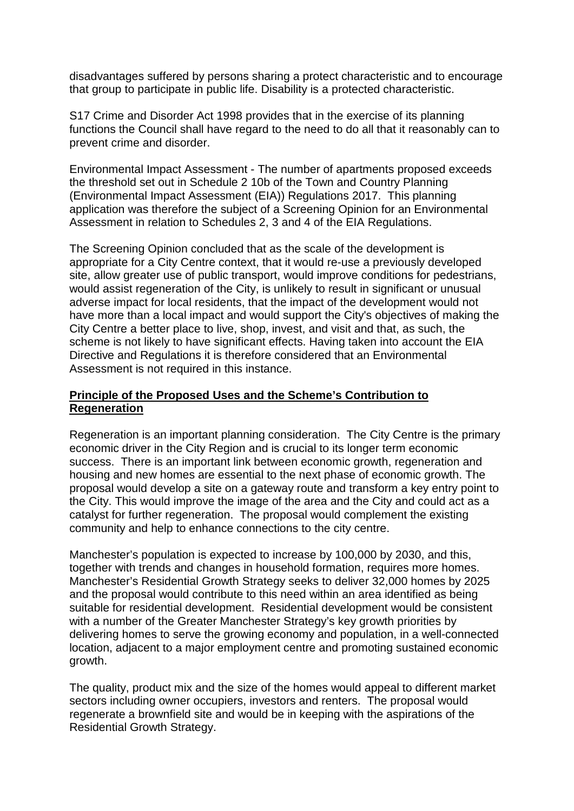disadvantages suffered by persons sharing a protect characteristic and to encourage that group to participate in public life. Disability is a protected characteristic.

S17 Crime and Disorder Act 1998 provides that in the exercise of its planning functions the Council shall have regard to the need to do all that it reasonably can to prevent crime and disorder.

Environmental Impact Assessment - The number of apartments proposed exceeds the threshold set out in Schedule 2 10b of the Town and Country Planning (Environmental Impact Assessment (EIA)) Regulations 2017. This planning application was therefore the subject of a Screening Opinion for an Environmental Assessment in relation to Schedules 2, 3 and 4 of the EIA Regulations.

The Screening Opinion concluded that as the scale of the development is appropriate for a City Centre context, that it would re-use a previously developed site, allow greater use of public transport, would improve conditions for pedestrians, would assist regeneration of the City, is unlikely to result in significant or unusual adverse impact for local residents, that the impact of the development would not have more than a local impact and would support the City's objectives of making the City Centre a better place to live, shop, invest, and visit and that, as such, the scheme is not likely to have significant effects. Having taken into account the EIA Directive and Regulations it is therefore considered that an Environmental Assessment is not required in this instance.

## **Principle of the Proposed Uses and the Scheme's Contribution to Regeneration**

Regeneration is an important planning consideration. The City Centre is the primary economic driver in the City Region and is crucial to its longer term economic success. There is an important link between economic growth, regeneration and housing and new homes are essential to the next phase of economic growth. The proposal would develop a site on a gateway route and transform a key entry point to the City. This would improve the image of the area and the City and could act as a catalyst for further regeneration. The proposal would complement the existing community and help to enhance connections to the city centre.

Manchester's population is expected to increase by 100,000 by 2030, and this, together with trends and changes in household formation, requires more homes. Manchester's Residential Growth Strategy seeks to deliver 32,000 homes by 2025 and the proposal would contribute to this need within an area identified as being suitable for residential development. Residential development would be consistent with a number of the Greater Manchester Strategy's key growth priorities by delivering homes to serve the growing economy and population, in a well-connected location, adjacent to a major employment centre and promoting sustained economic growth.

The quality, product mix and the size of the homes would appeal to different market sectors including owner occupiers, investors and renters. The proposal would regenerate a brownfield site and would be in keeping with the aspirations of the Residential Growth Strategy.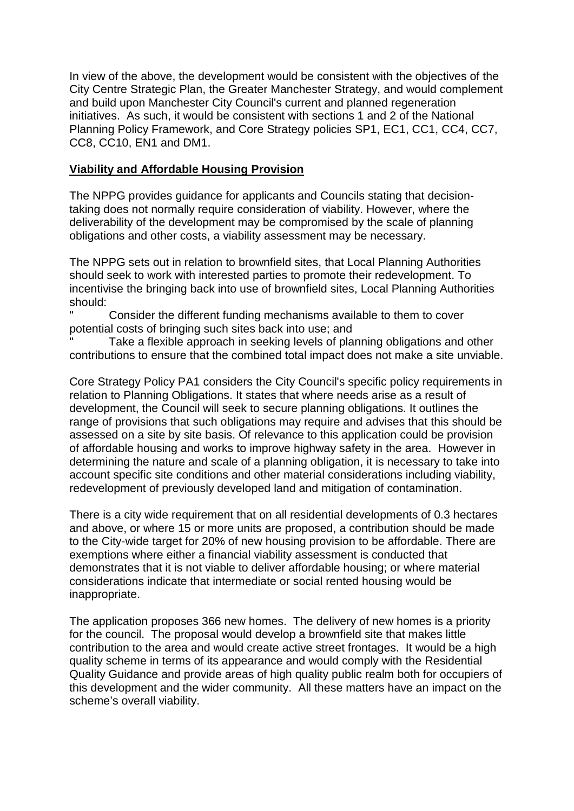In view of the above, the development would be consistent with the objectives of the City Centre Strategic Plan, the Greater Manchester Strategy, and would complement and build upon Manchester City Council's current and planned regeneration initiatives. As such, it would be consistent with sections 1 and 2 of the National Planning Policy Framework, and Core Strategy policies SP1, EC1, CC1, CC4, CC7, CC8, CC10, EN1 and DM1.

# **Viability and Affordable Housing Provision**

The NPPG provides guidance for applicants and Councils stating that decisiontaking does not normally require consideration of viability. However, where the deliverability of the development may be compromised by the scale of planning obligations and other costs, a viability assessment may be necessary.

The NPPG sets out in relation to brownfield sites, that Local Planning Authorities should seek to work with interested parties to promote their redevelopment. To incentivise the bringing back into use of brownfield sites, Local Planning Authorities should:

Consider the different funding mechanisms available to them to cover potential costs of bringing such sites back into use; and

Take a flexible approach in seeking levels of planning obligations and other contributions to ensure that the combined total impact does not make a site unviable.

Core Strategy Policy PA1 considers the City Council's specific policy requirements in relation to Planning Obligations. It states that where needs arise as a result of development, the Council will seek to secure planning obligations. It outlines the range of provisions that such obligations may require and advises that this should be assessed on a site by site basis. Of relevance to this application could be provision of affordable housing and works to improve highway safety in the area. However in determining the nature and scale of a planning obligation, it is necessary to take into account specific site conditions and other material considerations including viability, redevelopment of previously developed land and mitigation of contamination.

There is a city wide requirement that on all residential developments of 0.3 hectares and above, or where 15 or more units are proposed, a contribution should be made to the City-wide target for 20% of new housing provision to be affordable. There are exemptions where either a financial viability assessment is conducted that demonstrates that it is not viable to deliver affordable housing; or where material considerations indicate that intermediate or social rented housing would be inappropriate.

The application proposes 366 new homes. The delivery of new homes is a priority for the council. The proposal would develop a brownfield site that makes little contribution to the area and would create active street frontages. It would be a high quality scheme in terms of its appearance and would comply with the Residential Quality Guidance and provide areas of high quality public realm both for occupiers of this development and the wider community. All these matters have an impact on the scheme's overall viability.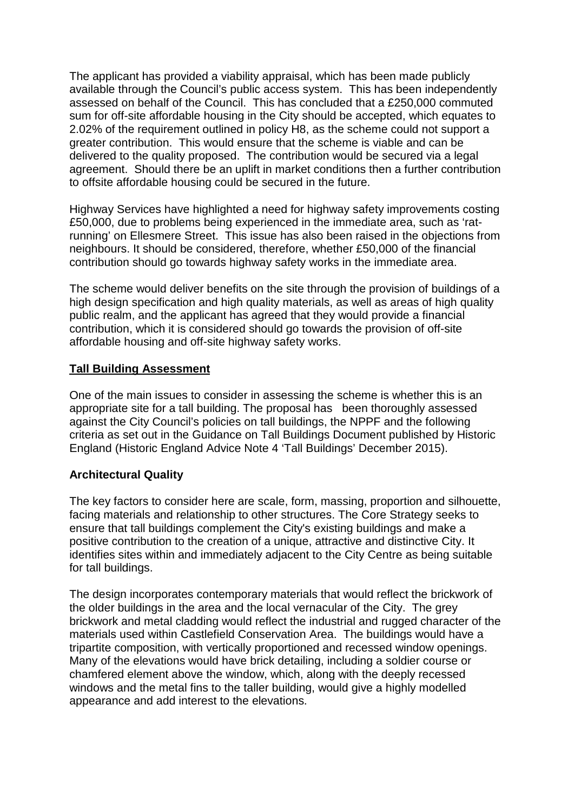The applicant has provided a viability appraisal, which has been made publicly available through the Council's public access system. This has been independently assessed on behalf of the Council. This has concluded that a £250,000 commuted sum for off-site affordable housing in the City should be accepted, which equates to 2.02% of the requirement outlined in policy H8, as the scheme could not support a greater contribution. This would ensure that the scheme is viable and can be delivered to the quality proposed. The contribution would be secured via a legal agreement. Should there be an uplift in market conditions then a further contribution to offsite affordable housing could be secured in the future.

Highway Services have highlighted a need for highway safety improvements costing £50,000, due to problems being experienced in the immediate area, such as 'ratrunning' on Ellesmere Street. This issue has also been raised in the objections from neighbours. It should be considered, therefore, whether £50,000 of the financial contribution should go towards highway safety works in the immediate area.

The scheme would deliver benefits on the site through the provision of buildings of a high design specification and high quality materials, as well as areas of high quality public realm, and the applicant has agreed that they would provide a financial contribution, which it is considered should go towards the provision of off-site affordable housing and off-site highway safety works.

# **Tall Building Assessment**

One of the main issues to consider in assessing the scheme is whether this is an appropriate site for a tall building. The proposal has been thoroughly assessed against the City Council's policies on tall buildings, the NPPF and the following criteria as set out in the Guidance on Tall Buildings Document published by Historic England (Historic England Advice Note 4 'Tall Buildings' December 2015).

## **Architectural Quality**

The key factors to consider here are scale, form, massing, proportion and silhouette, facing materials and relationship to other structures. The Core Strategy seeks to ensure that tall buildings complement the City's existing buildings and make a positive contribution to the creation of a unique, attractive and distinctive City. It identifies sites within and immediately adjacent to the City Centre as being suitable for tall buildings.

The design incorporates contemporary materials that would reflect the brickwork of the older buildings in the area and the local vernacular of the City. The grey brickwork and metal cladding would reflect the industrial and rugged character of the materials used within Castlefield Conservation Area. The buildings would have a tripartite composition, with vertically proportioned and recessed window openings. Many of the elevations would have brick detailing, including a soldier course or chamfered element above the window, which, along with the deeply recessed windows and the metal fins to the taller building, would give a highly modelled appearance and add interest to the elevations.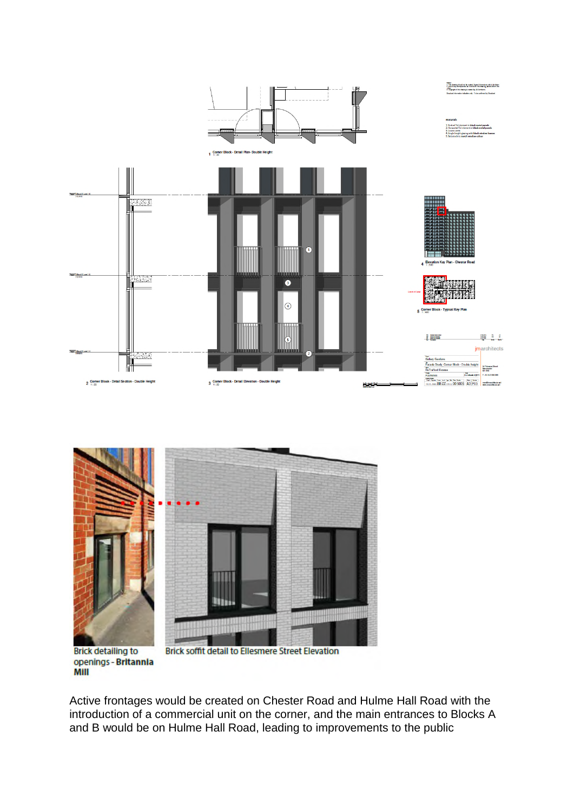



**Brick detailing to** openings - Britannia MIII

**Brick soffit detail to Ellesmere Street Elevation** 

Active frontages would be created on Chester Road and Hulme Hall Road with the introduction of a commercial unit on the corner, and the main entrances to Blocks A and B would be on Hulme Hall Road, leading to improvements to the public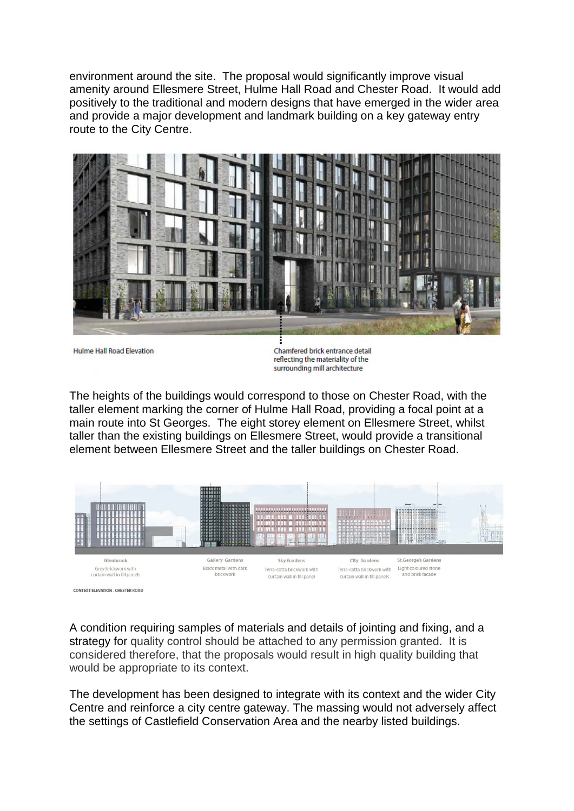environment around the site. The proposal would significantly improve visual amenity around Ellesmere Street, Hulme Hall Road and Chester Road. It would add positively to the traditional and modern designs that have emerged in the wider area and provide a major development and landmark building on a key gateway entry route to the City Centre.



**Hulme Hall Road Elevation** 

Chamfered brick entrance detail reflecting the materiality of the surrounding mill architecture

The heights of the buildings would correspond to those on Chester Road, with the taller element marking the corner of Hulme Hall Road, providing a focal point at a main route into St Georges. The eight storey element on Ellesmere Street, whilst taller than the existing buildings on Ellesmere Street, would provide a transitional element between Ellesmere Street and the taller buildings on Chester Road.



CONTEXT ELEVATION - CHESTER ROAD

A condition requiring samples of materials and details of jointing and fixing, and a strategy for quality control should be attached to any permission granted. It is considered therefore, that the proposals would result in high quality building that would be appropriate to its context.

The development has been designed to integrate with its context and the wider City Centre and reinforce a city centre gateway. The massing would not adversely affect the settings of Castlefield Conservation Area and the nearby listed buildings.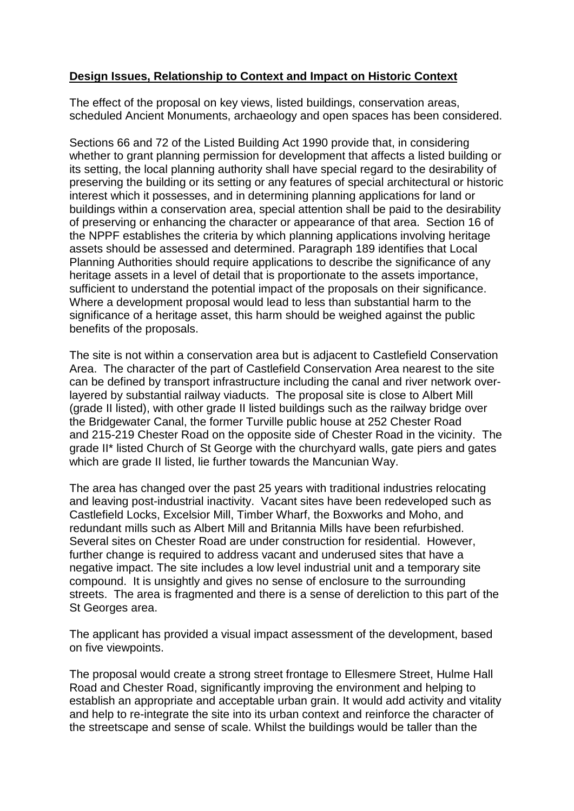# **Design Issues, Relationship to Context and Impact on Historic Context**

The effect of the proposal on key views, listed buildings, conservation areas, scheduled Ancient Monuments, archaeology and open spaces has been considered.

Sections 66 and 72 of the Listed Building Act 1990 provide that, in considering whether to grant planning permission for development that affects a listed building or its setting, the local planning authority shall have special regard to the desirability of preserving the building or its setting or any features of special architectural or historic interest which it possesses, and in determining planning applications for land or buildings within a conservation area, special attention shall be paid to the desirability of preserving or enhancing the character or appearance of that area. Section 16 of the NPPF establishes the criteria by which planning applications involving heritage assets should be assessed and determined. Paragraph 189 identifies that Local Planning Authorities should require applications to describe the significance of any heritage assets in a level of detail that is proportionate to the assets importance, sufficient to understand the potential impact of the proposals on their significance. Where a development proposal would lead to less than substantial harm to the significance of a heritage asset, this harm should be weighed against the public benefits of the proposals.

The site is not within a conservation area but is adjacent to Castlefield Conservation Area. The character of the part of Castlefield Conservation Area nearest to the site can be defined by transport infrastructure including the canal and river network overlayered by substantial railway viaducts. The proposal site is close to Albert Mill (grade II listed), with other grade II listed buildings such as the railway bridge over the Bridgewater Canal, the former Turville public house at 252 Chester Road and 215-219 Chester Road on the opposite side of Chester Road in the vicinity. The grade II\* listed Church of St George with the churchyard walls, gate piers and gates which are grade II listed, lie further towards the Mancunian Way.

The area has changed over the past 25 years with traditional industries relocating and leaving post-industrial inactivity. Vacant sites have been redeveloped such as Castlefield Locks, Excelsior Mill, Timber Wharf, the Boxworks and Moho, and redundant mills such as Albert Mill and Britannia Mills have been refurbished. Several sites on Chester Road are under construction for residential. However, further change is required to address vacant and underused sites that have a negative impact. The site includes a low level industrial unit and a temporary site compound. It is unsightly and gives no sense of enclosure to the surrounding streets. The area is fragmented and there is a sense of dereliction to this part of the St Georges area.

The applicant has provided a visual impact assessment of the development, based on five viewpoints.

The proposal would create a strong street frontage to Ellesmere Street, Hulme Hall Road and Chester Road, significantly improving the environment and helping to establish an appropriate and acceptable urban grain. It would add activity and vitality and help to re-integrate the site into its urban context and reinforce the character of the streetscape and sense of scale. Whilst the buildings would be taller than the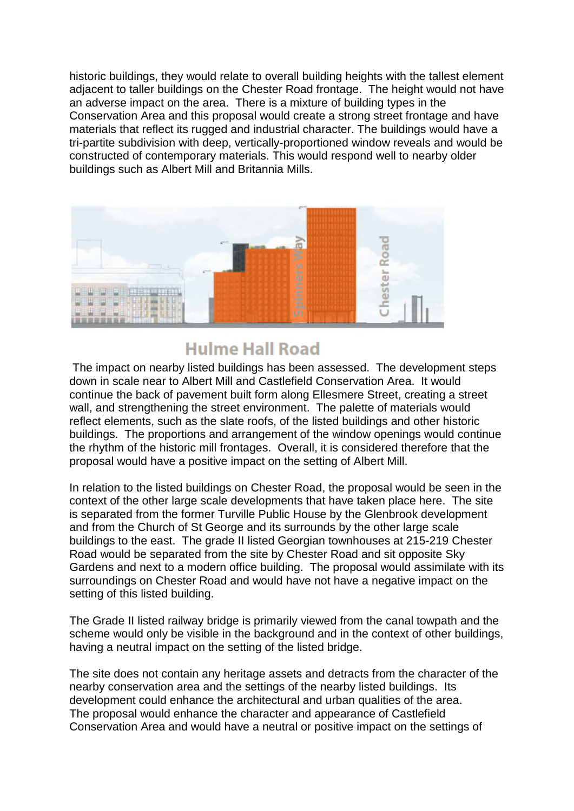historic buildings, they would relate to overall building heights with the tallest element adjacent to taller buildings on the Chester Road frontage. The height would not have an adverse impact on the area. There is a mixture of building types in the Conservation Area and this proposal would create a strong street frontage and have materials that reflect its rugged and industrial character. The buildings would have a tri-partite subdivision with deep, vertically-proportioned window reveals and would be constructed of contemporary materials. This would respond well to nearby older buildings such as Albert Mill and Britannia Mills.



# **Hulme Hall Road**

The impact on nearby listed buildings has been assessed. The development steps down in scale near to Albert Mill and Castlefield Conservation Area. It would continue the back of pavement built form along Ellesmere Street, creating a street wall, and strengthening the street environment. The palette of materials would reflect elements, such as the slate roofs, of the listed buildings and other historic buildings. The proportions and arrangement of the window openings would continue the rhythm of the historic mill frontages. Overall, it is considered therefore that the proposal would have a positive impact on the setting of Albert Mill.

In relation to the listed buildings on Chester Road, the proposal would be seen in the context of the other large scale developments that have taken place here. The site is separated from the former Turville Public House by the Glenbrook development and from the Church of St George and its surrounds by the other large scale buildings to the east. The grade II listed Georgian townhouses at 215-219 Chester Road would be separated from the site by Chester Road and sit opposite Sky Gardens and next to a modern office building. The proposal would assimilate with its surroundings on Chester Road and would have not have a negative impact on the setting of this listed building.

The Grade II listed railway bridge is primarily viewed from the canal towpath and the scheme would only be visible in the background and in the context of other buildings, having a neutral impact on the setting of the listed bridge.

The site does not contain any heritage assets and detracts from the character of the nearby conservation area and the settings of the nearby listed buildings. Its development could enhance the architectural and urban qualities of the area. The proposal would enhance the character and appearance of Castlefield Conservation Area and would have a neutral or positive impact on the settings of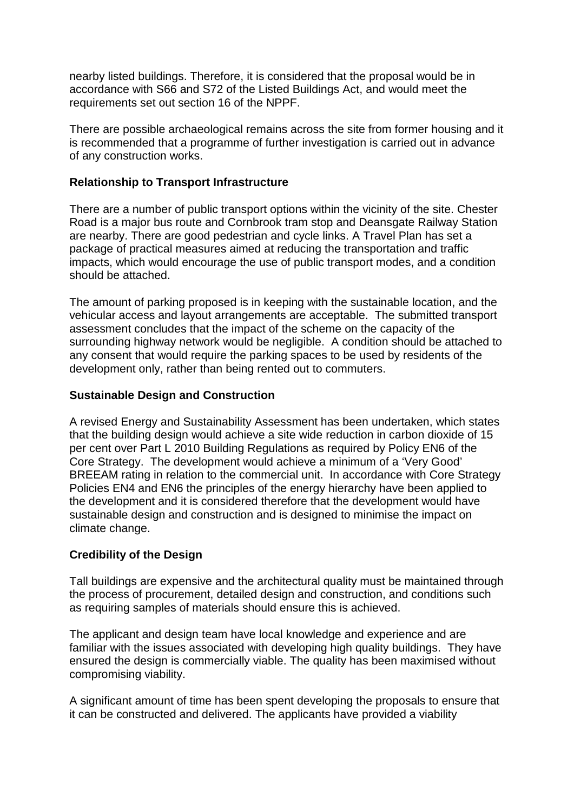nearby listed buildings. Therefore, it is considered that the proposal would be in accordance with S66 and S72 of the Listed Buildings Act, and would meet the requirements set out section 16 of the NPPF.

There are possible archaeological remains across the site from former housing and it is recommended that a programme of further investigation is carried out in advance of any construction works.

# **Relationship to Transport Infrastructure**

There are a number of public transport options within the vicinity of the site. Chester Road is a major bus route and Cornbrook tram stop and Deansgate Railway Station are nearby. There are good pedestrian and cycle links. A Travel Plan has set a package of practical measures aimed at reducing the transportation and traffic impacts, which would encourage the use of public transport modes, and a condition should be attached.

The amount of parking proposed is in keeping with the sustainable location, and the vehicular access and layout arrangements are acceptable. The submitted transport assessment concludes that the impact of the scheme on the capacity of the surrounding highway network would be negligible. A condition should be attached to any consent that would require the parking spaces to be used by residents of the development only, rather than being rented out to commuters.

# **Sustainable Design and Construction**

A revised Energy and Sustainability Assessment has been undertaken, which states that the building design would achieve a site wide reduction in carbon dioxide of 15 per cent over Part L 2010 Building Regulations as required by Policy EN6 of the Core Strategy. The development would achieve a minimum of a 'Very Good' BREEAM rating in relation to the commercial unit. In accordance with Core Strategy Policies EN4 and EN6 the principles of the energy hierarchy have been applied to the development and it is considered therefore that the development would have sustainable design and construction and is designed to minimise the impact on climate change.

# **Credibility of the Design**

Tall buildings are expensive and the architectural quality must be maintained through the process of procurement, detailed design and construction, and conditions such as requiring samples of materials should ensure this is achieved.

The applicant and design team have local knowledge and experience and are familiar with the issues associated with developing high quality buildings. They have ensured the design is commercially viable. The quality has been maximised without compromising viability.

A significant amount of time has been spent developing the proposals to ensure that it can be constructed and delivered. The applicants have provided a viability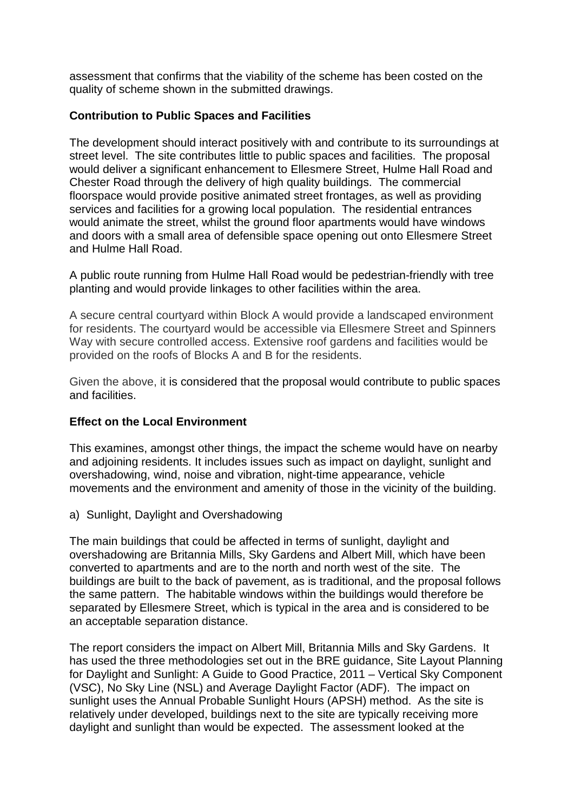assessment that confirms that the viability of the scheme has been costed on the quality of scheme shown in the submitted drawings.

# **Contribution to Public Spaces and Facilities**

The development should interact positively with and contribute to its surroundings at street level. The site contributes little to public spaces and facilities. The proposal would deliver a significant enhancement to Ellesmere Street, Hulme Hall Road and Chester Road through the delivery of high quality buildings. The commercial floorspace would provide positive animated street frontages, as well as providing services and facilities for a growing local population. The residential entrances would animate the street, whilst the ground floor apartments would have windows and doors with a small area of defensible space opening out onto Ellesmere Street and Hulme Hall Road.

A public route running from Hulme Hall Road would be pedestrian-friendly with tree planting and would provide linkages to other facilities within the area.

A secure central courtyard within Block A would provide a landscaped environment for residents. The courtyard would be accessible via Ellesmere Street and Spinners Way with secure controlled access. Extensive roof gardens and facilities would be provided on the roofs of Blocks A and B for the residents.

Given the above, it is considered that the proposal would contribute to public spaces and facilities.

## **Effect on the Local Environment**

This examines, amongst other things, the impact the scheme would have on nearby and adjoining residents. It includes issues such as impact on daylight, sunlight and overshadowing, wind, noise and vibration, night-time appearance, vehicle movements and the environment and amenity of those in the vicinity of the building.

a) Sunlight, Daylight and Overshadowing

The main buildings that could be affected in terms of sunlight, daylight and overshadowing are Britannia Mills, Sky Gardens and Albert Mill, which have been converted to apartments and are to the north and north west of the site. The buildings are built to the back of pavement, as is traditional, and the proposal follows the same pattern. The habitable windows within the buildings would therefore be separated by Ellesmere Street, which is typical in the area and is considered to be an acceptable separation distance.

The report considers the impact on Albert Mill, Britannia Mills and Sky Gardens. It has used the three methodologies set out in the BRE guidance, Site Layout Planning for Daylight and Sunlight: A Guide to Good Practice, 2011 – Vertical Sky Component (VSC), No Sky Line (NSL) and Average Daylight Factor (ADF). The impact on sunlight uses the Annual Probable Sunlight Hours (APSH) method. As the site is relatively under developed, buildings next to the site are typically receiving more daylight and sunlight than would be expected. The assessment looked at the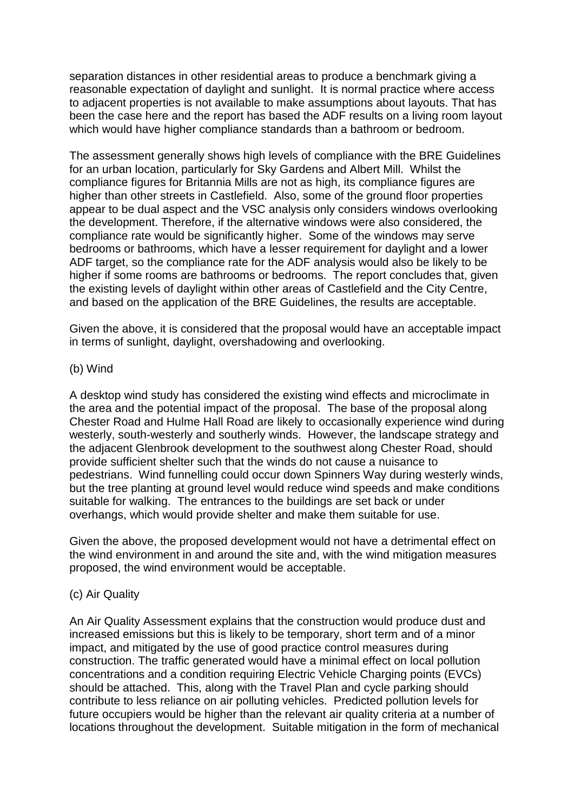separation distances in other residential areas to produce a benchmark giving a reasonable expectation of daylight and sunlight. It is normal practice where access to adjacent properties is not available to make assumptions about layouts. That has been the case here and the report has based the ADF results on a living room layout which would have higher compliance standards than a bathroom or bedroom.

The assessment generally shows high levels of compliance with the BRE Guidelines for an urban location, particularly for Sky Gardens and Albert Mill. Whilst the compliance figures for Britannia Mills are not as high, its compliance figures are higher than other streets in Castlefield. Also, some of the ground floor properties appear to be dual aspect and the VSC analysis only considers windows overlooking the development. Therefore, if the alternative windows were also considered, the compliance rate would be significantly higher. Some of the windows may serve bedrooms or bathrooms, which have a lesser requirement for daylight and a lower ADF target, so the compliance rate for the ADF analysis would also be likely to be higher if some rooms are bathrooms or bedrooms. The report concludes that, given the existing levels of daylight within other areas of Castlefield and the City Centre, and based on the application of the BRE Guidelines, the results are acceptable.

Given the above, it is considered that the proposal would have an acceptable impact in terms of sunlight, daylight, overshadowing and overlooking.

#### (b) Wind

A desktop wind study has considered the existing wind effects and microclimate in the area and the potential impact of the proposal. The base of the proposal along Chester Road and Hulme Hall Road are likely to occasionally experience wind during westerly, south-westerly and southerly winds. However, the landscape strategy and the adjacent Glenbrook development to the southwest along Chester Road, should provide sufficient shelter such that the winds do not cause a nuisance to pedestrians. Wind funnelling could occur down Spinners Way during westerly winds, but the tree planting at ground level would reduce wind speeds and make conditions suitable for walking. The entrances to the buildings are set back or under overhangs, which would provide shelter and make them suitable for use.

Given the above, the proposed development would not have a detrimental effect on the wind environment in and around the site and, with the wind mitigation measures proposed, the wind environment would be acceptable.

## (c) Air Quality

An Air Quality Assessment explains that the construction would produce dust and increased emissions but this is likely to be temporary, short term and of a minor impact, and mitigated by the use of good practice control measures during construction. The traffic generated would have a minimal effect on local pollution concentrations and a condition requiring Electric Vehicle Charging points (EVCs) should be attached. This, along with the Travel Plan and cycle parking should contribute to less reliance on air polluting vehicles. Predicted pollution levels for future occupiers would be higher than the relevant air quality criteria at a number of locations throughout the development. Suitable mitigation in the form of mechanical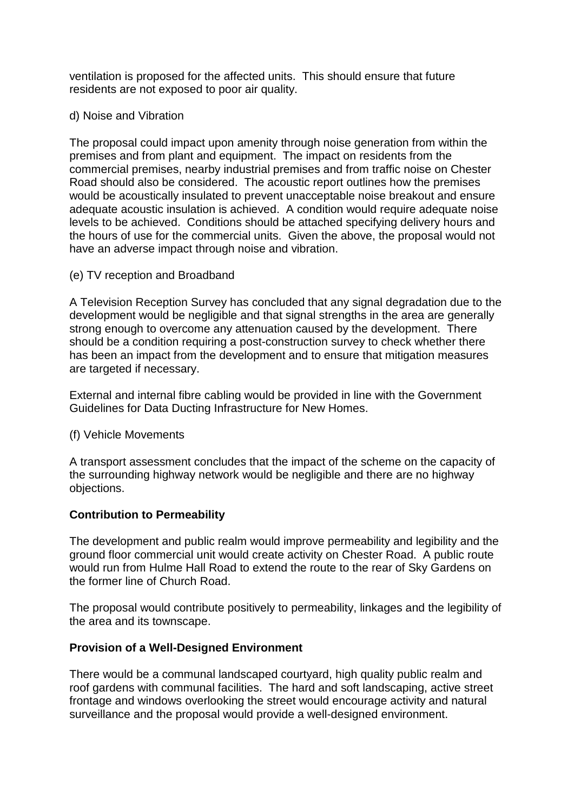ventilation is proposed for the affected units. This should ensure that future residents are not exposed to poor air quality.

## d) Noise and Vibration

The proposal could impact upon amenity through noise generation from within the premises and from plant and equipment. The impact on residents from the commercial premises, nearby industrial premises and from traffic noise on Chester Road should also be considered. The acoustic report outlines how the premises would be acoustically insulated to prevent unacceptable noise breakout and ensure adequate acoustic insulation is achieved. A condition would require adequate noise levels to be achieved. Conditions should be attached specifying delivery hours and the hours of use for the commercial units. Given the above, the proposal would not have an adverse impact through noise and vibration.

(e) TV reception and Broadband

A Television Reception Survey has concluded that any signal degradation due to the development would be negligible and that signal strengths in the area are generally strong enough to overcome any attenuation caused by the development. There should be a condition requiring a post-construction survey to check whether there has been an impact from the development and to ensure that mitigation measures are targeted if necessary.

External and internal fibre cabling would be provided in line with the Government Guidelines for Data Ducting Infrastructure for New Homes.

## (f) Vehicle Movements

A transport assessment concludes that the impact of the scheme on the capacity of the surrounding highway network would be negligible and there are no highway objections.

## **Contribution to Permeability**

The development and public realm would improve permeability and legibility and the ground floor commercial unit would create activity on Chester Road. A public route would run from Hulme Hall Road to extend the route to the rear of Sky Gardens on the former line of Church Road.

The proposal would contribute positively to permeability, linkages and the legibility of the area and its townscape.

## **Provision of a Well-Designed Environment**

There would be a communal landscaped courtyard, high quality public realm and roof gardens with communal facilities. The hard and soft landscaping, active street frontage and windows overlooking the street would encourage activity and natural surveillance and the proposal would provide a well-designed environment.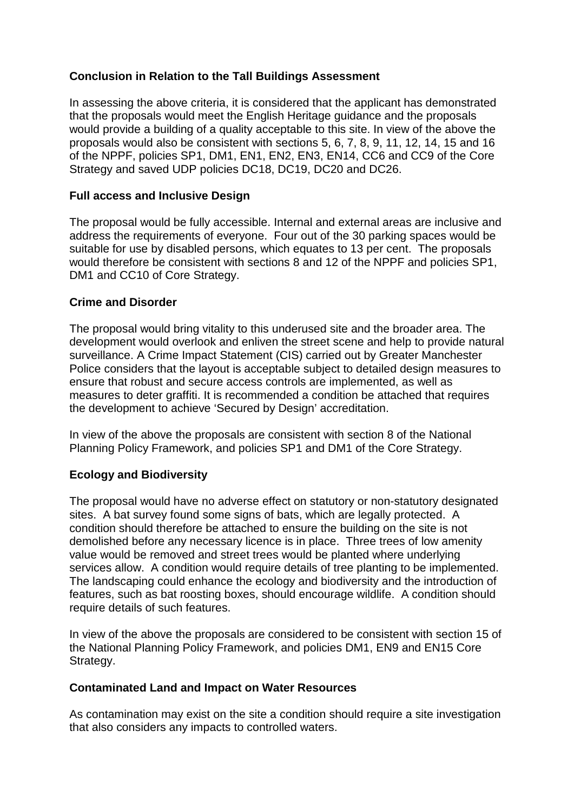# **Conclusion in Relation to the Tall Buildings Assessment**

In assessing the above criteria, it is considered that the applicant has demonstrated that the proposals would meet the English Heritage guidance and the proposals would provide a building of a quality acceptable to this site. In view of the above the proposals would also be consistent with sections 5, 6, 7, 8, 9, 11, 12, 14, 15 and 16 of the NPPF, policies SP1, DM1, EN1, EN2, EN3, EN14, CC6 and CC9 of the Core Strategy and saved UDP policies DC18, DC19, DC20 and DC26.

# **Full access and Inclusive Design**

The proposal would be fully accessible. Internal and external areas are inclusive and address the requirements of everyone. Four out of the 30 parking spaces would be suitable for use by disabled persons, which equates to 13 per cent. The proposals would therefore be consistent with sections 8 and 12 of the NPPF and policies SP1, DM1 and CC10 of Core Strategy.

# **Crime and Disorder**

The proposal would bring vitality to this underused site and the broader area. The development would overlook and enliven the street scene and help to provide natural surveillance. A Crime Impact Statement (CIS) carried out by Greater Manchester Police considers that the layout is acceptable subject to detailed design measures to ensure that robust and secure access controls are implemented, as well as measures to deter graffiti. It is recommended a condition be attached that requires the development to achieve 'Secured by Design' accreditation.

In view of the above the proposals are consistent with section 8 of the National Planning Policy Framework, and policies SP1 and DM1 of the Core Strategy.

# **Ecology and Biodiversity**

The proposal would have no adverse effect on statutory or non-statutory designated sites. A bat survey found some signs of bats, which are legally protected. A condition should therefore be attached to ensure the building on the site is not demolished before any necessary licence is in place. Three trees of low amenity value would be removed and street trees would be planted where underlying services allow. A condition would require details of tree planting to be implemented. The landscaping could enhance the ecology and biodiversity and the introduction of features, such as bat roosting boxes, should encourage wildlife. A condition should require details of such features.

In view of the above the proposals are considered to be consistent with section 15 of the National Planning Policy Framework, and policies DM1, EN9 and EN15 Core Strategy.

## **Contaminated Land and Impact on Water Resources**

As contamination may exist on the site a condition should require a site investigation that also considers any impacts to controlled waters.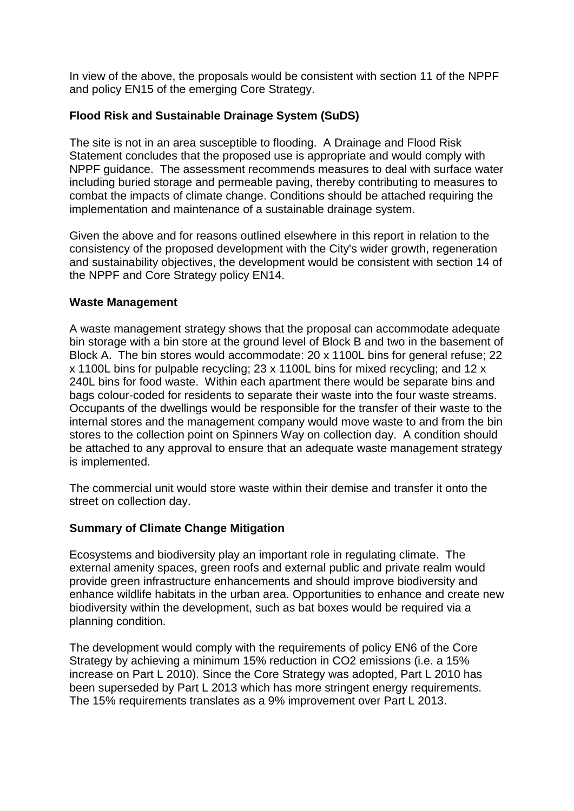In view of the above, the proposals would be consistent with section 11 of the NPPF and policy EN15 of the emerging Core Strategy.

# **Flood Risk and Sustainable Drainage System (SuDS)**

The site is not in an area susceptible to flooding. A Drainage and Flood Risk Statement concludes that the proposed use is appropriate and would comply with NPPF guidance. The assessment recommends measures to deal with surface water including buried storage and permeable paving, thereby contributing to measures to combat the impacts of climate change. Conditions should be attached requiring the implementation and maintenance of a sustainable drainage system.

Given the above and for reasons outlined elsewhere in this report in relation to the consistency of the proposed development with the City's wider growth, regeneration and sustainability objectives, the development would be consistent with section 14 of the NPPF and Core Strategy policy EN14.

# **Waste Management**

A waste management strategy shows that the proposal can accommodate adequate bin storage with a bin store at the ground level of Block B and two in the basement of Block A. The bin stores would accommodate: 20 x 1100L bins for general refuse; 22 x 1100L bins for pulpable recycling; 23 x 1100L bins for mixed recycling; and 12 x 240L bins for food waste. Within each apartment there would be separate bins and bags colour-coded for residents to separate their waste into the four waste streams. Occupants of the dwellings would be responsible for the transfer of their waste to the internal stores and the management company would move waste to and from the bin stores to the collection point on Spinners Way on collection day. A condition should be attached to any approval to ensure that an adequate waste management strategy is implemented.

The commercial unit would store waste within their demise and transfer it onto the street on collection day.

# **Summary of Climate Change Mitigation**

Ecosystems and biodiversity play an important role in regulating climate. The external amenity spaces, green roofs and external public and private realm would provide green infrastructure enhancements and should improve biodiversity and enhance wildlife habitats in the urban area. Opportunities to enhance and create new biodiversity within the development, such as bat boxes would be required via a planning condition.

The development would comply with the requirements of policy EN6 of the Core Strategy by achieving a minimum 15% reduction in CO2 emissions (i.e. a 15% increase on Part L 2010). Since the Core Strategy was adopted, Part L 2010 has been superseded by Part L 2013 which has more stringent energy requirements. The 15% requirements translates as a 9% improvement over Part L 2013.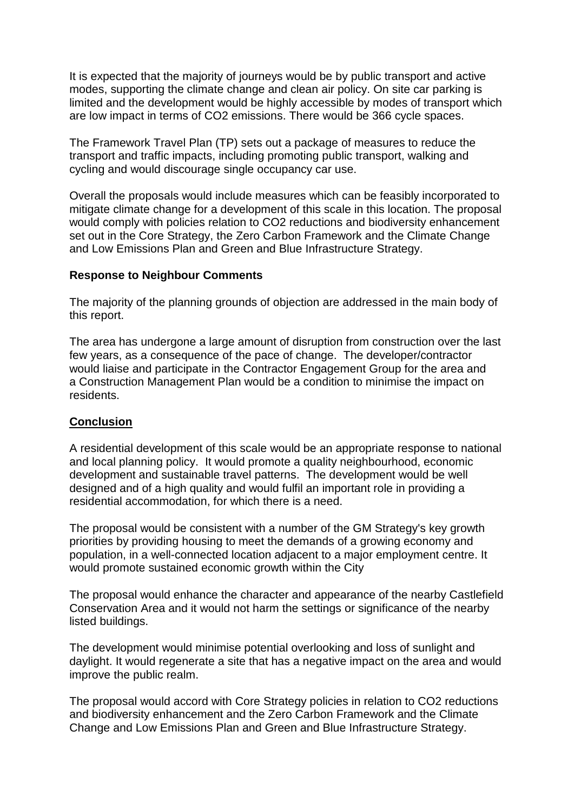It is expected that the majority of journeys would be by public transport and active modes, supporting the climate change and clean air policy. On site car parking is limited and the development would be highly accessible by modes of transport which are low impact in terms of CO2 emissions. There would be 366 cycle spaces.

The Framework Travel Plan (TP) sets out a package of measures to reduce the transport and traffic impacts, including promoting public transport, walking and cycling and would discourage single occupancy car use.

Overall the proposals would include measures which can be feasibly incorporated to mitigate climate change for a development of this scale in this location. The proposal would comply with policies relation to CO2 reductions and biodiversity enhancement set out in the Core Strategy, the Zero Carbon Framework and the Climate Change and Low Emissions Plan and Green and Blue Infrastructure Strategy.

#### **Response to Neighbour Comments**

The majority of the planning grounds of objection are addressed in the main body of this report.

The area has undergone a large amount of disruption from construction over the last few years, as a consequence of the pace of change. The developer/contractor would liaise and participate in the Contractor Engagement Group for the area and a Construction Management Plan would be a condition to minimise the impact on residents.

## **Conclusion**

A residential development of this scale would be an appropriate response to national and local planning policy. It would promote a quality neighbourhood, economic development and sustainable travel patterns. The development would be well designed and of a high quality and would fulfil an important role in providing a residential accommodation, for which there is a need.

The proposal would be consistent with a number of the GM Strategy's key growth priorities by providing housing to meet the demands of a growing economy and population, in a well-connected location adjacent to a major employment centre. It would promote sustained economic growth within the City

The proposal would enhance the character and appearance of the nearby Castlefield Conservation Area and it would not harm the settings or significance of the nearby listed buildings.

The development would minimise potential overlooking and loss of sunlight and daylight. It would regenerate a site that has a negative impact on the area and would improve the public realm.

The proposal would accord with Core Strategy policies in relation to CO2 reductions and biodiversity enhancement and the Zero Carbon Framework and the Climate Change and Low Emissions Plan and Green and Blue Infrastructure Strategy.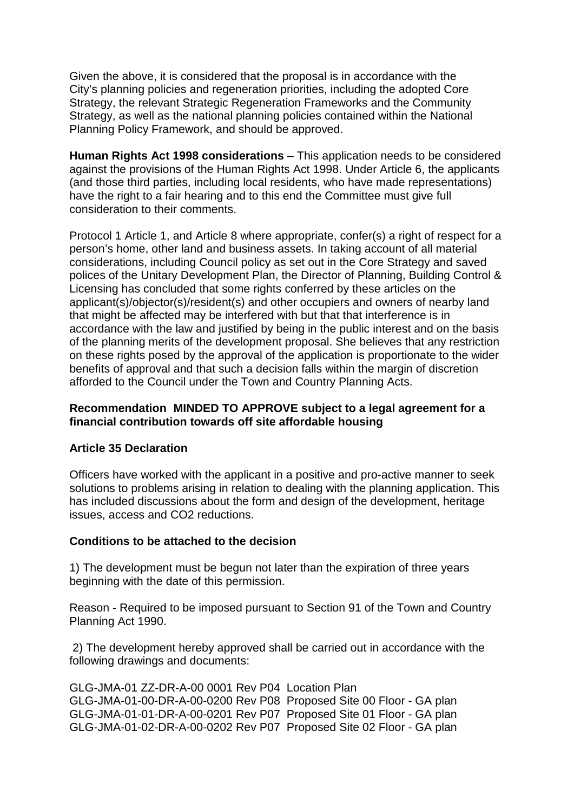Given the above, it is considered that the proposal is in accordance with the City's planning policies and regeneration priorities, including the adopted Core Strategy, the relevant Strategic Regeneration Frameworks and the Community Strategy, as well as the national planning policies contained within the National Planning Policy Framework, and should be approved.

**Human Rights Act 1998 considerations** – This application needs to be considered against the provisions of the Human Rights Act 1998. Under Article 6, the applicants (and those third parties, including local residents, who have made representations) have the right to a fair hearing and to this end the Committee must give full consideration to their comments.

Protocol 1 Article 1, and Article 8 where appropriate, confer(s) a right of respect for a person's home, other land and business assets. In taking account of all material considerations, including Council policy as set out in the Core Strategy and saved polices of the Unitary Development Plan, the Director of Planning, Building Control & Licensing has concluded that some rights conferred by these articles on the applicant(s)/objector(s)/resident(s) and other occupiers and owners of nearby land that might be affected may be interfered with but that that interference is in accordance with the law and justified by being in the public interest and on the basis of the planning merits of the development proposal. She believes that any restriction on these rights posed by the approval of the application is proportionate to the wider benefits of approval and that such a decision falls within the margin of discretion afforded to the Council under the Town and Country Planning Acts.

## **Recommendation MINDED TO APPROVE subject to a legal agreement for a financial contribution towards off site affordable housing**

#### **Article 35 Declaration**

Officers have worked with the applicant in a positive and pro-active manner to seek solutions to problems arising in relation to dealing with the planning application. This has included discussions about the form and design of the development, heritage issues, access and CO2 reductions.

#### **Conditions to be attached to the decision**

1) The development must be begun not later than the expiration of three years beginning with the date of this permission.

Reason - Required to be imposed pursuant to Section 91 of the Town and Country Planning Act 1990.

2) The development hereby approved shall be carried out in accordance with the following drawings and documents:

GLG-JMA-01 ZZ-DR-A-00 0001 Rev P04 Location Plan GLG-JMA-01-00-DR-A-00-0200 Rev P08 Proposed Site 00 Floor - GA plan GLG-JMA-01-01-DR-A-00-0201 Rev P07 Proposed Site 01 Floor - GA plan GLG-JMA-01-02-DR-A-00-0202 Rev P07 Proposed Site 02 Floor - GA plan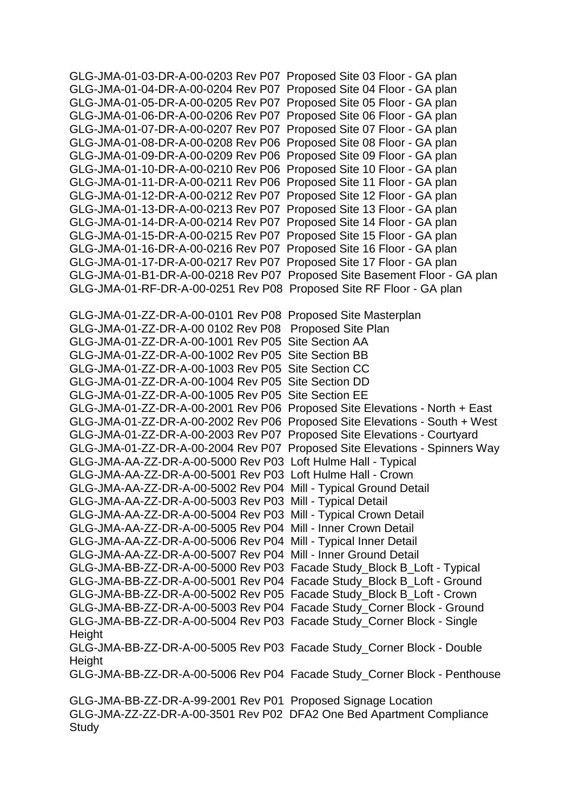GLG-JMA-01-03-DR-A-00-0203 Rev P07 Proposed Site 03 Floor - GA plan GLG-JMA-01-04-DR-A-00-0204 Rev P07 Proposed Site 04 Floor - GA plan GLG-JMA-01-05-DR-A-00-0205 Rev P07 Proposed Site 05 Floor - GA plan GLG-JMA-01-06-DR-A-00-0206 Rev P07 Proposed Site 06 Floor - GA plan GLG-JMA-01-07-DR-A-00-0207 Rev P07 Proposed Site 07 Floor - GA plan GLG-JMA-01-08-DR-A-00-0208 Rev P06 Proposed Site 08 Floor - GA plan GLG-JMA-01-09-DR-A-00-0209 Rev P06 Proposed Site 09 Floor - GA plan GLG-JMA-01-10-DR-A-00-0210 Rev P06 Proposed Site 10 Floor - GA plan GLG-JMA-01-11-DR-A-00-0211 Rev P06 Proposed Site 11 Floor - GA plan GLG-JMA-01-12-DR-A-00-0212 Rev P07 Proposed Site 12 Floor - GA plan GLG-JMA-01-13-DR-A-00-0213 Rev P07 Proposed Site 13 Floor - GA plan GLG-JMA-01-14-DR-A-00-0214 Rev P07 Proposed Site 14 Floor - GA plan GLG-JMA-01-15-DR-A-00-0215 Rev P07 Proposed Site 15 Floor - GA plan GLG-JMA-01-16-DR-A-00-0216 Rev P07 Proposed Site 16 Floor - GA plan GLG-JMA-01-17-DR-A-00-0217 Rev P07 Proposed Site 17 Floor - GA plan GLG-JMA-01-B1-DR-A-00-0218 Rev P07 Proposed Site Basement Floor - GA plan GLG-JMA-01-RF-DR-A-00-0251 Rev P08 Proposed Site RF Floor - GA plan GLG-JMA-01-ZZ-DR-A-00-0101 Rev P08 Proposed Site Masterplan GLG-JMA-01-ZZ-DR-A-00 0102 Rev P08 Proposed Site Plan GLG-JMA-01-ZZ-DR-A-00-1001 Rev P05 Site Section AA GLG-JMA-01-ZZ-DR-A-00-1002 Rev P05 Site Section BB GLG-JMA-01-ZZ-DR-A-00-1003 Rev P05 Site Section CC GLG-JMA-01-ZZ-DR-A-00-1004 Rev P05 Site Section DD GLG-JMA-01-ZZ-DR-A-00-1005 Rev P05 Site Section EE GLG-JMA-01-ZZ-DR-A-00-2001 Rev P06 Proposed Site Elevations - North + East GLG-JMA-01-ZZ-DR-A-00-2002 Rev P06 Proposed Site Elevations - South + West GLG-JMA-01-ZZ-DR-A-00-2003 Rev P07 Proposed Site Elevations - Courtyard GLG-JMA-01-ZZ-DR-A-00-2004 Rev P07 Proposed Site Elevations - Spinners Way GLG-JMA-AA-ZZ-DR-A-00-5000 Rev P03 Loft Hulme Hall - Typical GLG-JMA-AA-ZZ-DR-A-00-5001 Rev P03 Loft Hulme Hall - Crown GLG-JMA-AA-ZZ-DR-A-00-5002 Rev P04 Mill - Typical Ground Detail GLG-JMA-AA-ZZ-DR-A-00-5003 Rev P03 Mill - Typical Detail GLG-JMA-AA-ZZ-DR-A-00-5004 Rev P03 Mill - Typical Crown Detail GLG-JMA-AA-ZZ-DR-A-00-5005 Rev P04 Mill - Inner Crown Detail GLG-JMA-AA-ZZ-DR-A-00-5006 Rev P04 Mill - Typical Inner Detail GLG-JMA-AA-ZZ-DR-A-00-5007 Rev P04 Mill - Inner Ground Detail GLG-JMA-BB-ZZ-DR-A-00-5000 Rev P03 Facade Study\_Block B\_Loft - Typical GLG-JMA-BB-ZZ-DR-A-00-5001 Rev P04 Facade Study\_Block B\_Loft - Ground GLG-JMA-BB-ZZ-DR-A-00-5002 Rev P05 Facade Study\_Block B\_Loft - Crown GLG-JMA-BB-ZZ-DR-A-00-5003 Rev P04 Facade Study\_Corner Block - Ground GLG-JMA-BB-ZZ-DR-A-00-5004 Rev P03 Facade Study\_Corner Block - Single **Height** GLG-JMA-BB-ZZ-DR-A-00-5005 Rev P03 Facade Study\_Corner Block - Double Height GLG-JMA-BB-ZZ-DR-A-00-5006 Rev P04 Facade Study\_Corner Block - Penthouse GLG-JMA-BB-ZZ-DR-A-99-2001 Rev P01 Proposed Signage Location GLG-JMA-ZZ-ZZ-DR-A-00-3501 Rev P02 DFA2 One Bed Apartment Compliance **Study**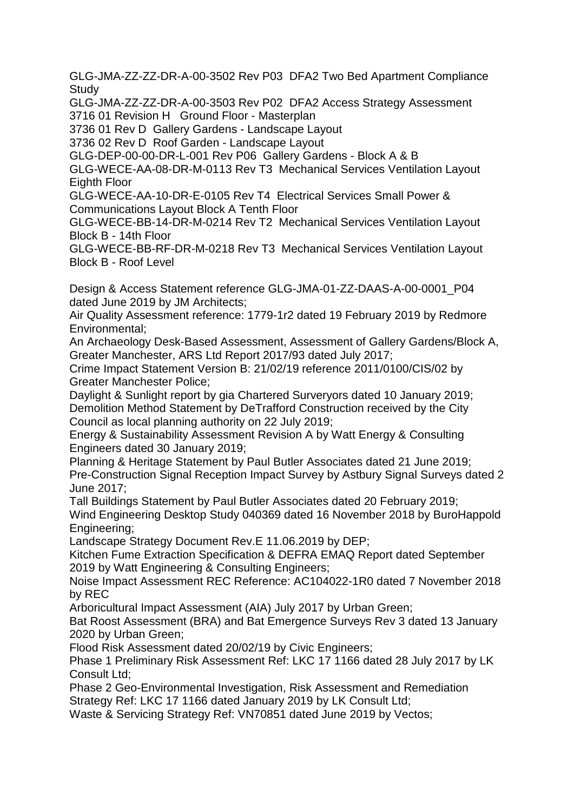GLG-JMA-ZZ-ZZ-DR-A-00-3502 Rev P03 DFA2 Two Bed Apartment Compliance **Study** 

GLG-JMA-ZZ-ZZ-DR-A-00-3503 Rev P02 DFA2 Access Strategy Assessment 3716 01 Revision H Ground Floor - Masterplan

3736 01 Rev D Gallery Gardens - Landscape Layout

3736 02 Rev D Roof Garden - Landscape Layout

GLG-DEP-00-00-DR-L-001 Rev P06 Gallery Gardens - Block A & B

GLG-WECE-AA-08-DR-M-0113 Rev T3 Mechanical Services Ventilation Layout Eighth Floor

GLG-WECE-AA-10-DR-E-0105 Rev T4 Electrical Services Small Power & Communications Layout Block A Tenth Floor

GLG-WECE-BB-14-DR-M-0214 Rev T2 Mechanical Services Ventilation Layout Block B - 14th Floor

GLG-WECE-BB-RF-DR-M-0218 Rev T3 Mechanical Services Ventilation Layout Block B - Roof Level

Design & Access Statement reference GLG-JMA-01-ZZ-DAAS-A-00-0001\_P04 dated June 2019 by JM Architects;

Air Quality Assessment reference: 1779-1r2 dated 19 February 2019 by Redmore Environmental;

An Archaeology Desk-Based Assessment, Assessment of Gallery Gardens/Block A, Greater Manchester, ARS Ltd Report 2017/93 dated July 2017;

Crime Impact Statement Version B: 21/02/19 reference 2011/0100/CIS/02 by Greater Manchester Police;

Daylight & Sunlight report by gia Chartered Surveryors dated 10 January 2019; Demolition Method Statement by DeTrafford Construction received by the City Council as local planning authority on 22 July 2019;

Energy & Sustainability Assessment Revision A by Watt Energy & Consulting Engineers dated 30 January 2019;

Planning & Heritage Statement by Paul Butler Associates dated 21 June 2019; Pre-Construction Signal Reception Impact Survey by Astbury Signal Surveys dated 2 June 2017;

Tall Buildings Statement by Paul Butler Associates dated 20 February 2019; Wind Engineering Desktop Study 040369 dated 16 November 2018 by BuroHappold Engineering;

Landscape Strategy Document Rev.E 11.06.2019 by DEP;

Kitchen Fume Extraction Specification & DEFRA EMAQ Report dated September 2019 by Watt Engineering & Consulting Engineers;

Noise Impact Assessment REC Reference: AC104022-1R0 dated 7 November 2018 by REC

Arboricultural Impact Assessment (AIA) July 2017 by Urban Green;

Bat Roost Assessment (BRA) and Bat Emergence Surveys Rev 3 dated 13 January 2020 by Urban Green;

Flood Risk Assessment dated 20/02/19 by Civic Engineers;

Phase 1 Preliminary Risk Assessment Ref: LKC 17 1166 dated 28 July 2017 by LK Consult Ltd;

Phase 2 Geo-Environmental Investigation, Risk Assessment and Remediation Strategy Ref: LKC 17 1166 dated January 2019 by LK Consult Ltd;

Waste & Servicing Strategy Ref: VN70851 dated June 2019 by Vectos;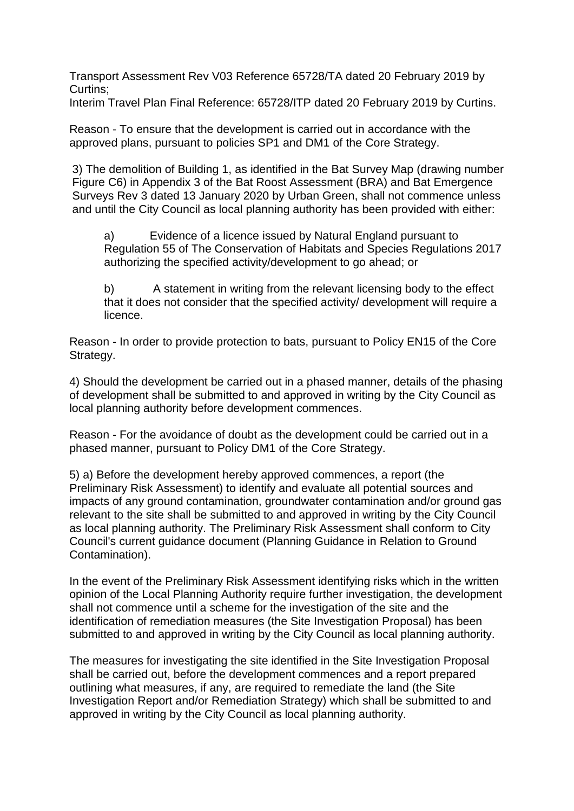Transport Assessment Rev V03 Reference 65728/TA dated 20 February 2019 by Curtins;

Interim Travel Plan Final Reference: 65728/ITP dated 20 February 2019 by Curtins.

Reason - To ensure that the development is carried out in accordance with the approved plans, pursuant to policies SP1 and DM1 of the Core Strategy.

3) The demolition of Building 1, as identified in the Bat Survey Map (drawing number Figure C6) in Appendix 3 of the Bat Roost Assessment (BRA) and Bat Emergence Surveys Rev 3 dated 13 January 2020 by Urban Green, shall not commence unless and until the City Council as local planning authority has been provided with either:

a) Evidence of a licence issued by Natural England pursuant to Regulation 55 of The Conservation of Habitats and Species Regulations 2017 authorizing the specified activity/development to go ahead; or

b) A statement in writing from the relevant licensing body to the effect that it does not consider that the specified activity/ development will require a licence.

Reason - In order to provide protection to bats, pursuant to Policy EN15 of the Core Strategy.

4) Should the development be carried out in a phased manner, details of the phasing of development shall be submitted to and approved in writing by the City Council as local planning authority before development commences.

Reason - For the avoidance of doubt as the development could be carried out in a phased manner, pursuant to Policy DM1 of the Core Strategy.

5) a) Before the development hereby approved commences, a report (the Preliminary Risk Assessment) to identify and evaluate all potential sources and impacts of any ground contamination, groundwater contamination and/or ground gas relevant to the site shall be submitted to and approved in writing by the City Council as local planning authority. The Preliminary Risk Assessment shall conform to City Council's current guidance document (Planning Guidance in Relation to Ground Contamination).

In the event of the Preliminary Risk Assessment identifying risks which in the written opinion of the Local Planning Authority require further investigation, the development shall not commence until a scheme for the investigation of the site and the identification of remediation measures (the Site Investigation Proposal) has been submitted to and approved in writing by the City Council as local planning authority.

The measures for investigating the site identified in the Site Investigation Proposal shall be carried out, before the development commences and a report prepared outlining what measures, if any, are required to remediate the land (the Site Investigation Report and/or Remediation Strategy) which shall be submitted to and approved in writing by the City Council as local planning authority.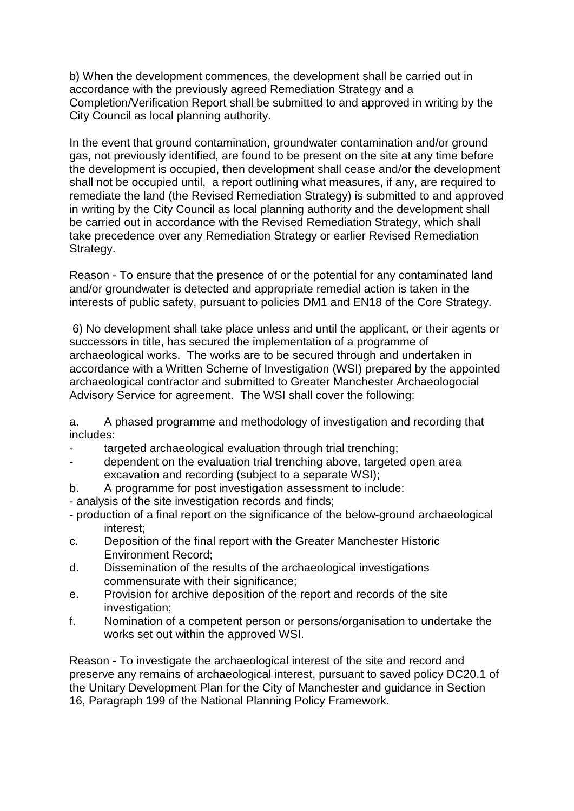b) When the development commences, the development shall be carried out in accordance with the previously agreed Remediation Strategy and a Completion/Verification Report shall be submitted to and approved in writing by the City Council as local planning authority.

In the event that ground contamination, groundwater contamination and/or ground gas, not previously identified, are found to be present on the site at any time before the development is occupied, then development shall cease and/or the development shall not be occupied until, a report outlining what measures, if any, are required to remediate the land (the Revised Remediation Strategy) is submitted to and approved in writing by the City Council as local planning authority and the development shall be carried out in accordance with the Revised Remediation Strategy, which shall take precedence over any Remediation Strategy or earlier Revised Remediation Strategy.

Reason - To ensure that the presence of or the potential for any contaminated land and/or groundwater is detected and appropriate remedial action is taken in the interests of public safety, pursuant to policies DM1 and EN18 of the Core Strategy.

6) No development shall take place unless and until the applicant, or their agents or successors in title, has secured the implementation of a programme of archaeological works. The works are to be secured through and undertaken in accordance with a Written Scheme of Investigation (WSI) prepared by the appointed archaeological contractor and submitted to Greater Manchester Archaeologocial Advisory Service for agreement. The WSI shall cover the following:

a. A phased programme and methodology of investigation and recording that includes:

- targeted archaeological evaluation through trial trenching:
- dependent on the evaluation trial trenching above, targeted open area excavation and recording (subject to a separate WSI);
- b. A programme for post investigation assessment to include:
- analysis of the site investigation records and finds;
- production of a final report on the significance of the below-ground archaeological interest;
- c. Deposition of the final report with the Greater Manchester Historic Environment Record;
- d. Dissemination of the results of the archaeological investigations commensurate with their significance;
- e. Provision for archive deposition of the report and records of the site investigation;
- f. Nomination of a competent person or persons/organisation to undertake the works set out within the approved WSI.

Reason - To investigate the archaeological interest of the site and record and preserve any remains of archaeological interest, pursuant to saved policy DC20.1 of the Unitary Development Plan for the City of Manchester and guidance in Section 16, Paragraph 199 of the National Planning Policy Framework.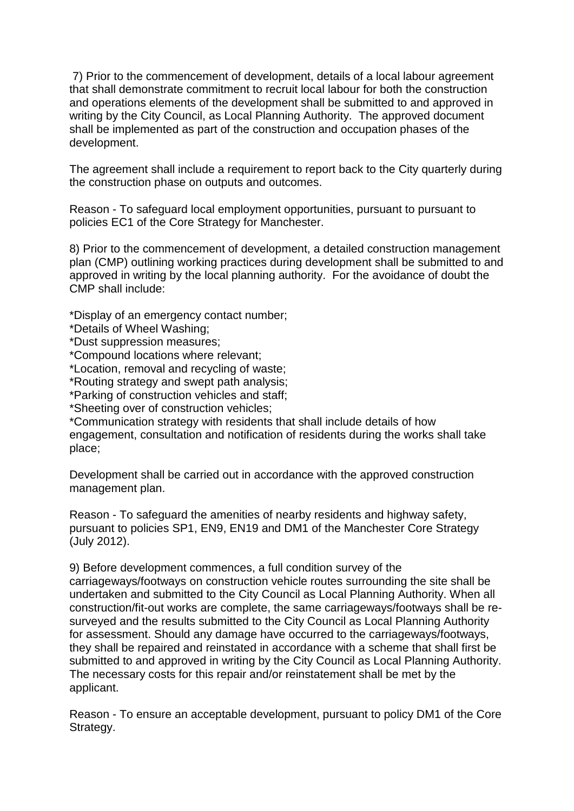7) Prior to the commencement of development, details of a local labour agreement that shall demonstrate commitment to recruit local labour for both the construction and operations elements of the development shall be submitted to and approved in writing by the City Council, as Local Planning Authority. The approved document shall be implemented as part of the construction and occupation phases of the development.

The agreement shall include a requirement to report back to the City quarterly during the construction phase on outputs and outcomes.

Reason - To safeguard local employment opportunities, pursuant to pursuant to policies EC1 of the Core Strategy for Manchester.

8) Prior to the commencement of development, a detailed construction management plan (CMP) outlining working practices during development shall be submitted to and approved in writing by the local planning authority. For the avoidance of doubt the CMP shall include:

\*Display of an emergency contact number;

\*Details of Wheel Washing;

\*Dust suppression measures;

\*Compound locations where relevant;

\*Location, removal and recycling of waste;

\*Routing strategy and swept path analysis;

\*Parking of construction vehicles and staff;

\*Sheeting over of construction vehicles;

\*Communication strategy with residents that shall include details of how engagement, consultation and notification of residents during the works shall take place;

Development shall be carried out in accordance with the approved construction management plan.

Reason - To safeguard the amenities of nearby residents and highway safety, pursuant to policies SP1, EN9, EN19 and DM1 of the Manchester Core Strategy (July 2012).

9) Before development commences, a full condition survey of the carriageways/footways on construction vehicle routes surrounding the site shall be undertaken and submitted to the City Council as Local Planning Authority. When all construction/fit-out works are complete, the same carriageways/footways shall be resurveyed and the results submitted to the City Council as Local Planning Authority for assessment. Should any damage have occurred to the carriageways/footways, they shall be repaired and reinstated in accordance with a scheme that shall first be submitted to and approved in writing by the City Council as Local Planning Authority. The necessary costs for this repair and/or reinstatement shall be met by the applicant.

Reason - To ensure an acceptable development, pursuant to policy DM1 of the Core Strategy.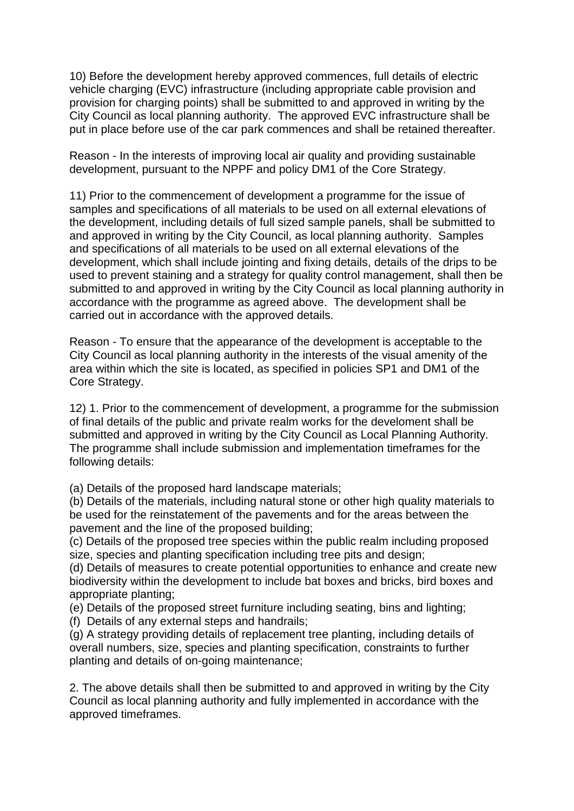10) Before the development hereby approved commences, full details of electric vehicle charging (EVC) infrastructure (including appropriate cable provision and provision for charging points) shall be submitted to and approved in writing by the City Council as local planning authority. The approved EVC infrastructure shall be put in place before use of the car park commences and shall be retained thereafter.

Reason - In the interests of improving local air quality and providing sustainable development, pursuant to the NPPF and policy DM1 of the Core Strategy.

11) Prior to the commencement of development a programme for the issue of samples and specifications of all materials to be used on all external elevations of the development, including details of full sized sample panels, shall be submitted to and approved in writing by the City Council, as local planning authority. Samples and specifications of all materials to be used on all external elevations of the development, which shall include jointing and fixing details, details of the drips to be used to prevent staining and a strategy for quality control management, shall then be submitted to and approved in writing by the City Council as local planning authority in accordance with the programme as agreed above. The development shall be carried out in accordance with the approved details.

Reason - To ensure that the appearance of the development is acceptable to the City Council as local planning authority in the interests of the visual amenity of the area within which the site is located, as specified in policies SP1 and DM1 of the Core Strategy.

12) 1. Prior to the commencement of development, a programme for the submission of final details of the public and private realm works for the develoment shall be submitted and approved in writing by the City Council as Local Planning Authority. The programme shall include submission and implementation timeframes for the following details:

(a) Details of the proposed hard landscape materials;

(b) Details of the materials, including natural stone or other high quality materials to be used for the reinstatement of the pavements and for the areas between the pavement and the line of the proposed building;

(c) Details of the proposed tree species within the public realm including proposed size, species and planting specification including tree pits and design;

(d) Details of measures to create potential opportunities to enhance and create new biodiversity within the development to include bat boxes and bricks, bird boxes and appropriate planting;

(e) Details of the proposed street furniture including seating, bins and lighting;

(f) Details of any external steps and handrails;

(g) A strategy providing details of replacement tree planting, including details of overall numbers, size, species and planting specification, constraints to further planting and details of on-going maintenance;

2. The above details shall then be submitted to and approved in writing by the City Council as local planning authority and fully implemented in accordance with the approved timeframes.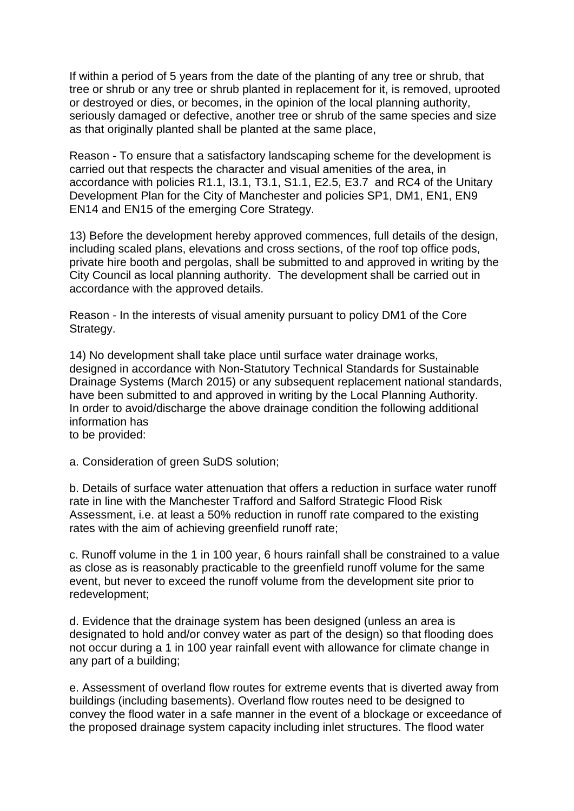If within a period of 5 years from the date of the planting of any tree or shrub, that tree or shrub or any tree or shrub planted in replacement for it, is removed, uprooted or destroyed or dies, or becomes, in the opinion of the local planning authority, seriously damaged or defective, another tree or shrub of the same species and size as that originally planted shall be planted at the same place,

Reason - To ensure that a satisfactory landscaping scheme for the development is carried out that respects the character and visual amenities of the area, in accordance with policies R1.1, I3.1, T3.1, S1.1, E2.5, E3.7 and RC4 of the Unitary Development Plan for the City of Manchester and policies SP1, DM1, EN1, EN9 EN14 and EN15 of the emerging Core Strategy.

13) Before the development hereby approved commences, full details of the design, including scaled plans, elevations and cross sections, of the roof top office pods, private hire booth and pergolas, shall be submitted to and approved in writing by the City Council as local planning authority. The development shall be carried out in accordance with the approved details.

Reason - In the interests of visual amenity pursuant to policy DM1 of the Core Strategy.

14) No development shall take place until surface water drainage works, designed in accordance with Non-Statutory Technical Standards for Sustainable Drainage Systems (March 2015) or any subsequent replacement national standards, have been submitted to and approved in writing by the Local Planning Authority. In order to avoid/discharge the above drainage condition the following additional information has

to be provided:

a. Consideration of green SuDS solution;

b. Details of surface water attenuation that offers a reduction in surface water runoff rate in line with the Manchester Trafford and Salford Strategic Flood Risk Assessment, i.e. at least a 50% reduction in runoff rate compared to the existing rates with the aim of achieving greenfield runoff rate;

c. Runoff volume in the 1 in 100 year, 6 hours rainfall shall be constrained to a value as close as is reasonably practicable to the greenfield runoff volume for the same event, but never to exceed the runoff volume from the development site prior to redevelopment;

d. Evidence that the drainage system has been designed (unless an area is designated to hold and/or convey water as part of the design) so that flooding does not occur during a 1 in 100 year rainfall event with allowance for climate change in any part of a building;

e. Assessment of overland flow routes for extreme events that is diverted away from buildings (including basements). Overland flow routes need to be designed to convey the flood water in a safe manner in the event of a blockage or exceedance of the proposed drainage system capacity including inlet structures. The flood water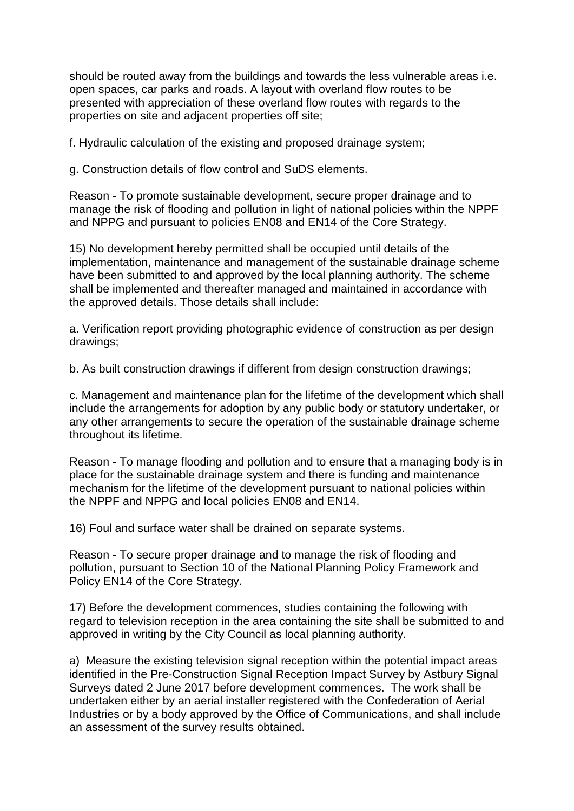should be routed away from the buildings and towards the less vulnerable areas i.e. open spaces, car parks and roads. A layout with overland flow routes to be presented with appreciation of these overland flow routes with regards to the properties on site and adjacent properties off site;

f. Hydraulic calculation of the existing and proposed drainage system;

g. Construction details of flow control and SuDS elements.

Reason - To promote sustainable development, secure proper drainage and to manage the risk of flooding and pollution in light of national policies within the NPPF and NPPG and pursuant to policies EN08 and EN14 of the Core Strategy.

15) No development hereby permitted shall be occupied until details of the implementation, maintenance and management of the sustainable drainage scheme have been submitted to and approved by the local planning authority. The scheme shall be implemented and thereafter managed and maintained in accordance with the approved details. Those details shall include:

a. Verification report providing photographic evidence of construction as per design drawings;

b. As built construction drawings if different from design construction drawings;

c. Management and maintenance plan for the lifetime of the development which shall include the arrangements for adoption by any public body or statutory undertaker, or any other arrangements to secure the operation of the sustainable drainage scheme throughout its lifetime.

Reason - To manage flooding and pollution and to ensure that a managing body is in place for the sustainable drainage system and there is funding and maintenance mechanism for the lifetime of the development pursuant to national policies within the NPPF and NPPG and local policies EN08 and EN14.

16) Foul and surface water shall be drained on separate systems.

Reason - To secure proper drainage and to manage the risk of flooding and pollution, pursuant to Section 10 of the National Planning Policy Framework and Policy EN14 of the Core Strategy.

17) Before the development commences, studies containing the following with regard to television reception in the area containing the site shall be submitted to and approved in writing by the City Council as local planning authority.

a) Measure the existing television signal reception within the potential impact areas identified in the Pre-Construction Signal Reception Impact Survey by Astbury Signal Surveys dated 2 June 2017 before development commences. The work shall be undertaken either by an aerial installer registered with the Confederation of Aerial Industries or by a body approved by the Office of Communications, and shall include an assessment of the survey results obtained.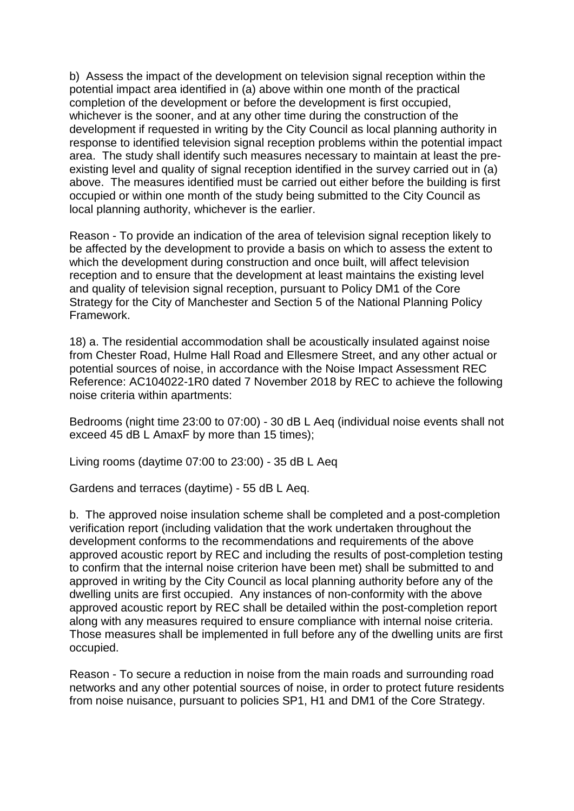b) Assess the impact of the development on television signal reception within the potential impact area identified in (a) above within one month of the practical completion of the development or before the development is first occupied, whichever is the sooner, and at any other time during the construction of the development if requested in writing by the City Council as local planning authority in response to identified television signal reception problems within the potential impact area. The study shall identify such measures necessary to maintain at least the preexisting level and quality of signal reception identified in the survey carried out in (a) above. The measures identified must be carried out either before the building is first occupied or within one month of the study being submitted to the City Council as local planning authority, whichever is the earlier.

Reason - To provide an indication of the area of television signal reception likely to be affected by the development to provide a basis on which to assess the extent to which the development during construction and once built, will affect television reception and to ensure that the development at least maintains the existing level and quality of television signal reception, pursuant to Policy DM1 of the Core Strategy for the City of Manchester and Section 5 of the National Planning Policy Framework.

18) a. The residential accommodation shall be acoustically insulated against noise from Chester Road, Hulme Hall Road and Ellesmere Street, and any other actual or potential sources of noise, in accordance with the Noise Impact Assessment REC Reference: AC104022-1R0 dated 7 November 2018 by REC to achieve the following noise criteria within apartments:

Bedrooms (night time 23:00 to 07:00) - 30 dB L Aeq (individual noise events shall not exceed 45 dB L AmaxF by more than 15 times);

Living rooms (daytime 07:00 to 23:00) - 35 dB L Aeq

Gardens and terraces (daytime) - 55 dB L Aeq.

b. The approved noise insulation scheme shall be completed and a post-completion verification report (including validation that the work undertaken throughout the development conforms to the recommendations and requirements of the above approved acoustic report by REC and including the results of post-completion testing to confirm that the internal noise criterion have been met) shall be submitted to and approved in writing by the City Council as local planning authority before any of the dwelling units are first occupied. Any instances of non-conformity with the above approved acoustic report by REC shall be detailed within the post-completion report along with any measures required to ensure compliance with internal noise criteria. Those measures shall be implemented in full before any of the dwelling units are first occupied.

Reason - To secure a reduction in noise from the main roads and surrounding road networks and any other potential sources of noise, in order to protect future residents from noise nuisance, pursuant to policies SP1, H1 and DM1 of the Core Strategy.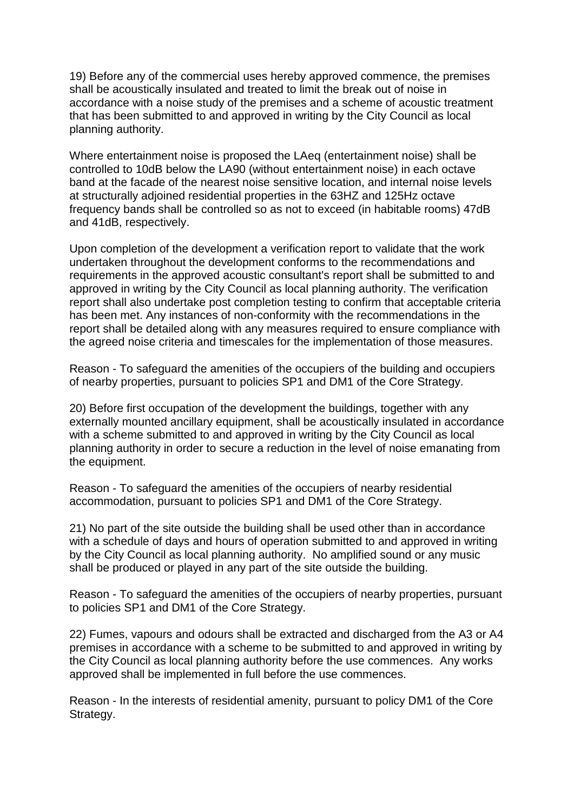19) Before any of the commercial uses hereby approved commence, the premises shall be acoustically insulated and treated to limit the break out of noise in accordance with a noise study of the premises and a scheme of acoustic treatment that has been submitted to and approved in writing by the City Council as local planning authority.

Where entertainment noise is proposed the LAeq (entertainment noise) shall be controlled to 10dB below the LA90 (without entertainment noise) in each octave band at the facade of the nearest noise sensitive location, and internal noise levels at structurally adjoined residential properties in the 63HZ and 125Hz octave frequency bands shall be controlled so as not to exceed (in habitable rooms) 47dB and 41dB, respectively.

Upon completion of the development a verification report to validate that the work undertaken throughout the development conforms to the recommendations and requirements in the approved acoustic consultant's report shall be submitted to and approved in writing by the City Council as local planning authority. The verification report shall also undertake post completion testing to confirm that acceptable criteria has been met. Any instances of non-conformity with the recommendations in the report shall be detailed along with any measures required to ensure compliance with the agreed noise criteria and timescales for the implementation of those measures.

Reason - To safeguard the amenities of the occupiers of the building and occupiers of nearby properties, pursuant to policies SP1 and DM1 of the Core Strategy.

20) Before first occupation of the development the buildings, together with any externally mounted ancillary equipment, shall be acoustically insulated in accordance with a scheme submitted to and approved in writing by the City Council as local planning authority in order to secure a reduction in the level of noise emanating from the equipment.

Reason - To safeguard the amenities of the occupiers of nearby residential accommodation, pursuant to policies SP1 and DM1 of the Core Strategy.

21) No part of the site outside the building shall be used other than in accordance with a schedule of days and hours of operation submitted to and approved in writing by the City Council as local planning authority. No amplified sound or any music shall be produced or played in any part of the site outside the building.

Reason - To safeguard the amenities of the occupiers of nearby properties, pursuant to policies SP1 and DM1 of the Core Strategy.

22) Fumes, vapours and odours shall be extracted and discharged from the A3 or A4 premises in accordance with a scheme to be submitted to and approved in writing by the City Council as local planning authority before the use commences. Any works approved shall be implemented in full before the use commences.

Reason - In the interests of residential amenity, pursuant to policy DM1 of the Core Strategy.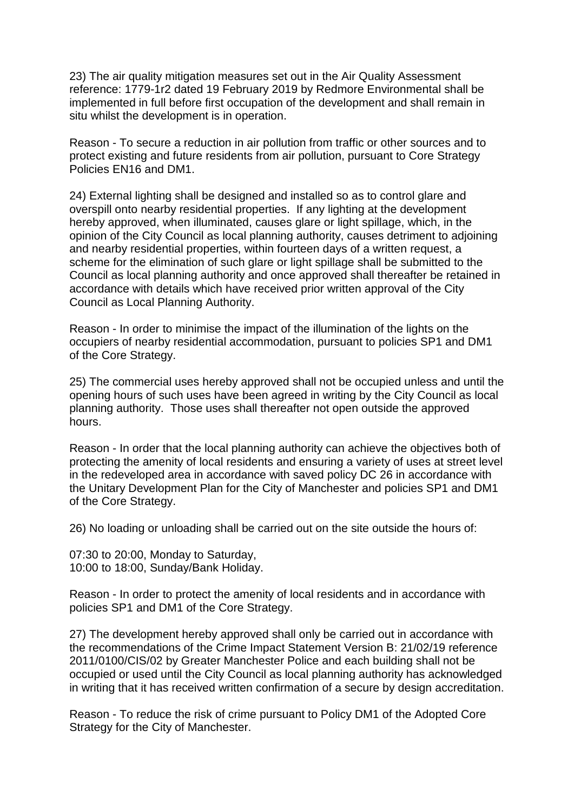23) The air quality mitigation measures set out in the Air Quality Assessment reference: 1779-1r2 dated 19 February 2019 by Redmore Environmental shall be implemented in full before first occupation of the development and shall remain in situ whilst the development is in operation.

Reason - To secure a reduction in air pollution from traffic or other sources and to protect existing and future residents from air pollution, pursuant to Core Strategy Policies EN16 and DM1.

24) External lighting shall be designed and installed so as to control glare and overspill onto nearby residential properties. If any lighting at the development hereby approved, when illuminated, causes glare or light spillage, which, in the opinion of the City Council as local planning authority, causes detriment to adjoining and nearby residential properties, within fourteen days of a written request, a scheme for the elimination of such glare or light spillage shall be submitted to the Council as local planning authority and once approved shall thereafter be retained in accordance with details which have received prior written approval of the City Council as Local Planning Authority.

Reason - In order to minimise the impact of the illumination of the lights on the occupiers of nearby residential accommodation, pursuant to policies SP1 and DM1 of the Core Strategy.

25) The commercial uses hereby approved shall not be occupied unless and until the opening hours of such uses have been agreed in writing by the City Council as local planning authority. Those uses shall thereafter not open outside the approved hours.

Reason - In order that the local planning authority can achieve the objectives both of protecting the amenity of local residents and ensuring a variety of uses at street level in the redeveloped area in accordance with saved policy DC 26 in accordance with the Unitary Development Plan for the City of Manchester and policies SP1 and DM1 of the Core Strategy.

26) No loading or unloading shall be carried out on the site outside the hours of:

07:30 to 20:00, Monday to Saturday, 10:00 to 18:00, Sunday/Bank Holiday.

Reason - In order to protect the amenity of local residents and in accordance with policies SP1 and DM1 of the Core Strategy.

27) The development hereby approved shall only be carried out in accordance with the recommendations of the Crime Impact Statement Version B: 21/02/19 reference 2011/0100/CIS/02 by Greater Manchester Police and each building shall not be occupied or used until the City Council as local planning authority has acknowledged in writing that it has received written confirmation of a secure by design accreditation.

Reason - To reduce the risk of crime pursuant to Policy DM1 of the Adopted Core Strategy for the City of Manchester.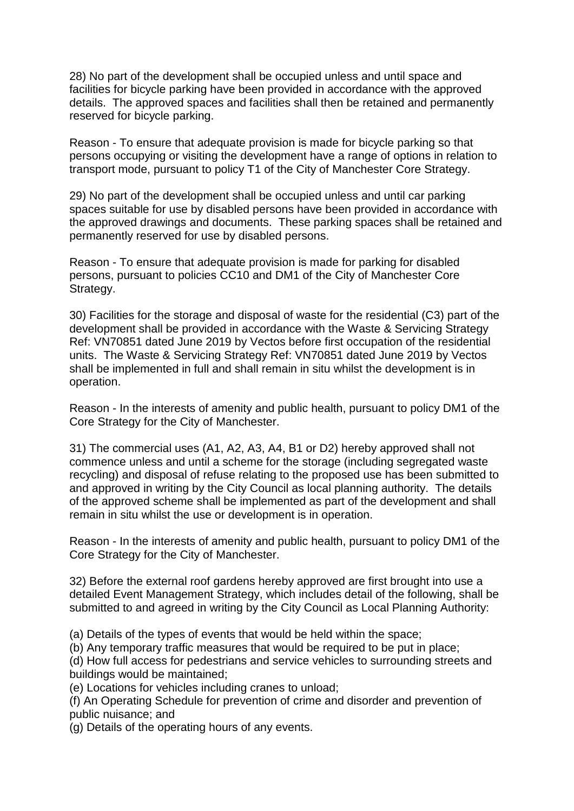28) No part of the development shall be occupied unless and until space and facilities for bicycle parking have been provided in accordance with the approved details. The approved spaces and facilities shall then be retained and permanently reserved for bicycle parking.

Reason - To ensure that adequate provision is made for bicycle parking so that persons occupying or visiting the development have a range of options in relation to transport mode, pursuant to policy T1 of the City of Manchester Core Strategy.

29) No part of the development shall be occupied unless and until car parking spaces suitable for use by disabled persons have been provided in accordance with the approved drawings and documents. These parking spaces shall be retained and permanently reserved for use by disabled persons.

Reason - To ensure that adequate provision is made for parking for disabled persons, pursuant to policies CC10 and DM1 of the City of Manchester Core Strategy.

30) Facilities for the storage and disposal of waste for the residential (C3) part of the development shall be provided in accordance with the Waste & Servicing Strategy Ref: VN70851 dated June 2019 by Vectos before first occupation of the residential units. The Waste & Servicing Strategy Ref: VN70851 dated June 2019 by Vectos shall be implemented in full and shall remain in situ whilst the development is in operation.

Reason - In the interests of amenity and public health, pursuant to policy DM1 of the Core Strategy for the City of Manchester.

31) The commercial uses (A1, A2, A3, A4, B1 or D2) hereby approved shall not commence unless and until a scheme for the storage (including segregated waste recycling) and disposal of refuse relating to the proposed use has been submitted to and approved in writing by the City Council as local planning authority. The details of the approved scheme shall be implemented as part of the development and shall remain in situ whilst the use or development is in operation.

Reason - In the interests of amenity and public health, pursuant to policy DM1 of the Core Strategy for the City of Manchester.

32) Before the external roof gardens hereby approved are first brought into use a detailed Event Management Strategy, which includes detail of the following, shall be submitted to and agreed in writing by the City Council as Local Planning Authority:

(a) Details of the types of events that would be held within the space;

(b) Any temporary traffic measures that would be required to be put in place;

(d) How full access for pedestrians and service vehicles to surrounding streets and buildings would be maintained;

(e) Locations for vehicles including cranes to unload;

(f) An Operating Schedule for prevention of crime and disorder and prevention of public nuisance; and

(g) Details of the operating hours of any events.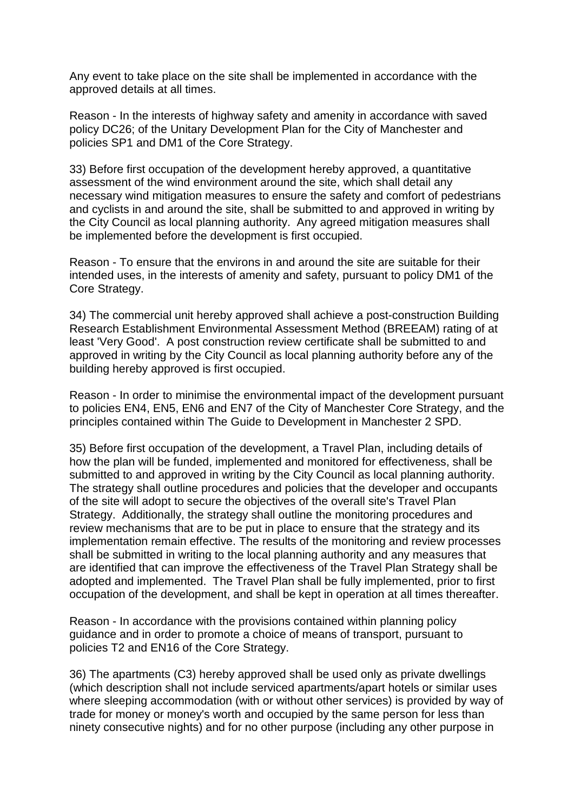Any event to take place on the site shall be implemented in accordance with the approved details at all times.

Reason - In the interests of highway safety and amenity in accordance with saved policy DC26; of the Unitary Development Plan for the City of Manchester and policies SP1 and DM1 of the Core Strategy.

33) Before first occupation of the development hereby approved, a quantitative assessment of the wind environment around the site, which shall detail any necessary wind mitigation measures to ensure the safety and comfort of pedestrians and cyclists in and around the site, shall be submitted to and approved in writing by the City Council as local planning authority. Any agreed mitigation measures shall be implemented before the development is first occupied.

Reason - To ensure that the environs in and around the site are suitable for their intended uses, in the interests of amenity and safety, pursuant to policy DM1 of the Core Strategy.

34) The commercial unit hereby approved shall achieve a post-construction Building Research Establishment Environmental Assessment Method (BREEAM) rating of at least 'Very Good'. A post construction review certificate shall be submitted to and approved in writing by the City Council as local planning authority before any of the building hereby approved is first occupied.

Reason - In order to minimise the environmental impact of the development pursuant to policies EN4, EN5, EN6 and EN7 of the City of Manchester Core Strategy, and the principles contained within The Guide to Development in Manchester 2 SPD.

35) Before first occupation of the development, a Travel Plan, including details of how the plan will be funded, implemented and monitored for effectiveness, shall be submitted to and approved in writing by the City Council as local planning authority. The strategy shall outline procedures and policies that the developer and occupants of the site will adopt to secure the objectives of the overall site's Travel Plan Strategy. Additionally, the strategy shall outline the monitoring procedures and review mechanisms that are to be put in place to ensure that the strategy and its implementation remain effective. The results of the monitoring and review processes shall be submitted in writing to the local planning authority and any measures that are identified that can improve the effectiveness of the Travel Plan Strategy shall be adopted and implemented. The Travel Plan shall be fully implemented, prior to first occupation of the development, and shall be kept in operation at all times thereafter.

Reason - In accordance with the provisions contained within planning policy guidance and in order to promote a choice of means of transport, pursuant to policies T2 and EN16 of the Core Strategy.

36) The apartments (C3) hereby approved shall be used only as private dwellings (which description shall not include serviced apartments/apart hotels or similar uses where sleeping accommodation (with or without other services) is provided by way of trade for money or money's worth and occupied by the same person for less than ninety consecutive nights) and for no other purpose (including any other purpose in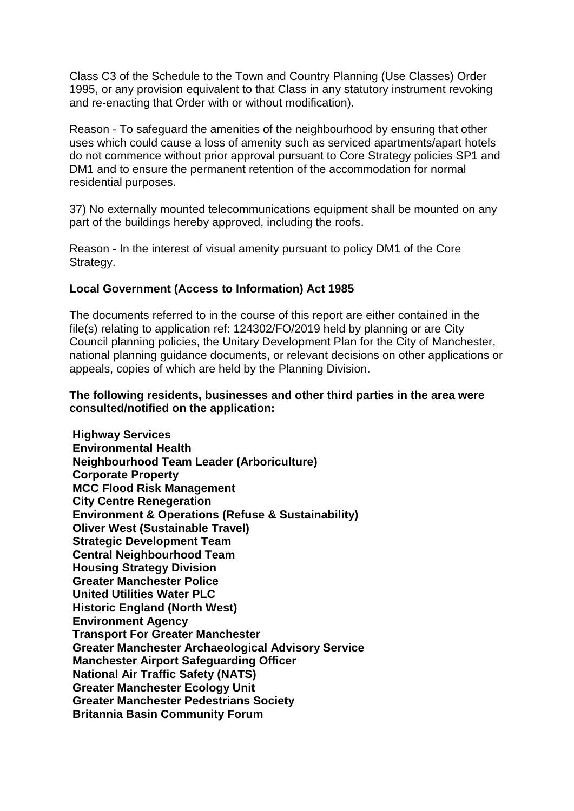Class C3 of the Schedule to the Town and Country Planning (Use Classes) Order 1995, or any provision equivalent to that Class in any statutory instrument revoking and re-enacting that Order with or without modification).

Reason - To safeguard the amenities of the neighbourhood by ensuring that other uses which could cause a loss of amenity such as serviced apartments/apart hotels do not commence without prior approval pursuant to Core Strategy policies SP1 and DM1 and to ensure the permanent retention of the accommodation for normal residential purposes.

37) No externally mounted telecommunications equipment shall be mounted on any part of the buildings hereby approved, including the roofs.

Reason - In the interest of visual amenity pursuant to policy DM1 of the Core Strategy.

## **Local Government (Access to Information) Act 1985**

The documents referred to in the course of this report are either contained in the file(s) relating to application ref: 124302/FO/2019 held by planning or are City Council planning policies, the Unitary Development Plan for the City of Manchester, national planning guidance documents, or relevant decisions on other applications or appeals, copies of which are held by the Planning Division.

## **The following residents, businesses and other third parties in the area were consulted/notified on the application:**

**Highway Services Environmental Health Neighbourhood Team Leader (Arboriculture) Corporate Property MCC Flood Risk Management City Centre Renegeration Environment & Operations (Refuse & Sustainability) Oliver West (Sustainable Travel) Strategic Development Team Central Neighbourhood Team Housing Strategy Division Greater Manchester Police United Utilities Water PLC Historic England (North West) Environment Agency Transport For Greater Manchester Greater Manchester Archaeological Advisory Service Manchester Airport Safeguarding Officer National Air Traffic Safety (NATS) Greater Manchester Ecology Unit Greater Manchester Pedestrians Society Britannia Basin Community Forum**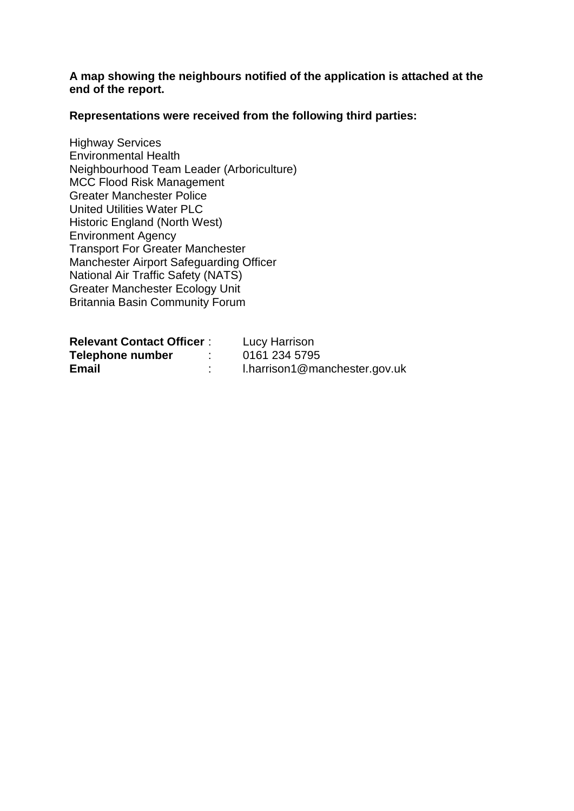**A map showing the neighbours notified of the application is attached at the end of the report.**

**Representations were received from the following third parties:**

Highway Services Environmental Health Neighbourhood Team Leader (Arboriculture) MCC Flood Risk Management Greater Manchester Police United Utilities Water PLC Historic England (North West) Environment Agency Transport For Greater Manchester Manchester Airport Safeguarding Officer National Air Traffic Safety (NATS) Greater Manchester Ecology Unit Britannia Basin Community Forum

| <b>Relevant Contact Officer:</b> | Lucy Harrison                 |
|----------------------------------|-------------------------------|
| Telephone number                 | 0161 234 5795                 |
| <b>Email</b>                     | I.harrison1@manchester.gov.uk |